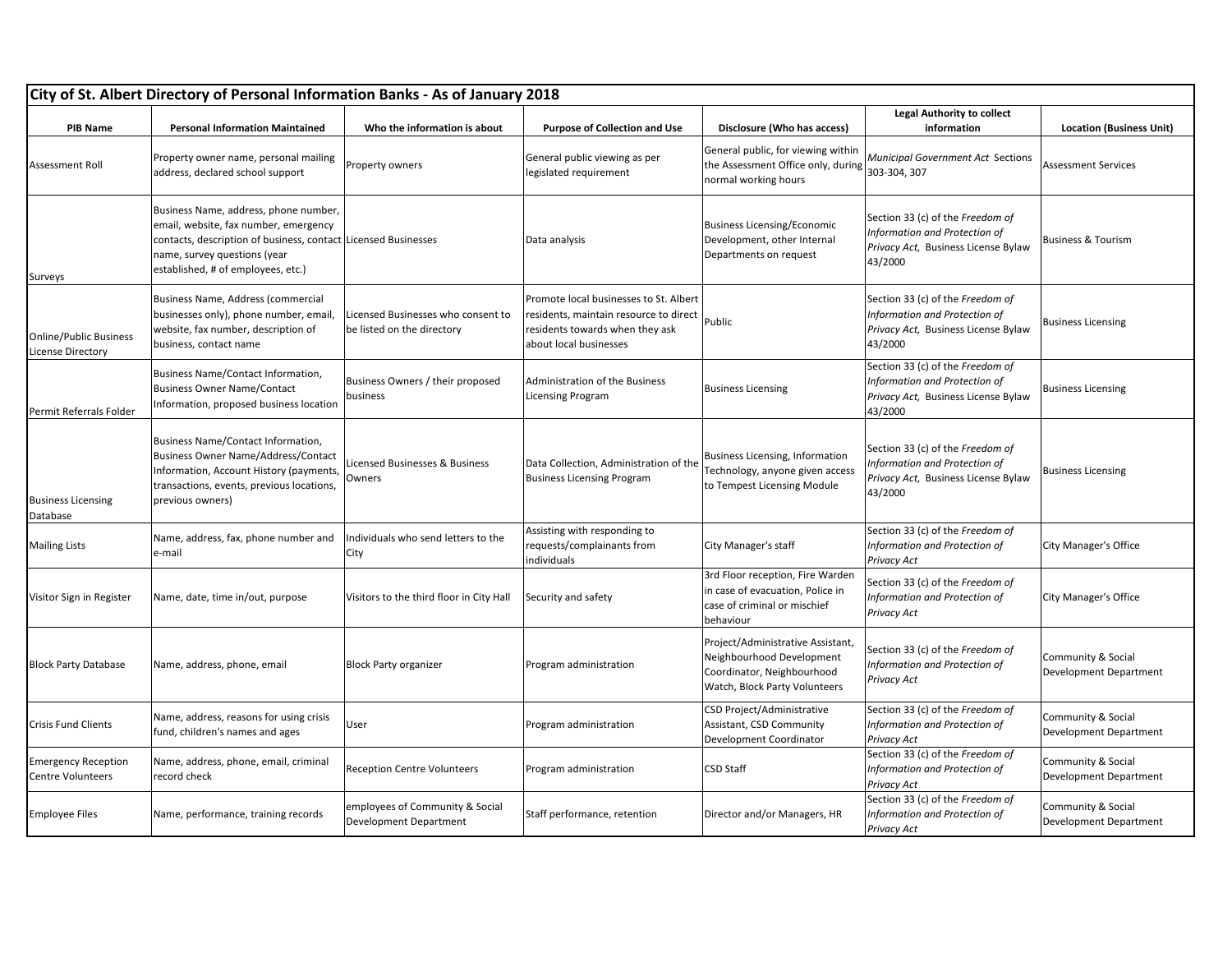| City of St. Albert Directory of Personal Information Banks - As of January 2018 |                                                                                                                                                                                                                        |                                                                  |                                                                                                                                               |                                                                                                                               |                                                                                                                     |                                              |  |  |
|---------------------------------------------------------------------------------|------------------------------------------------------------------------------------------------------------------------------------------------------------------------------------------------------------------------|------------------------------------------------------------------|-----------------------------------------------------------------------------------------------------------------------------------------------|-------------------------------------------------------------------------------------------------------------------------------|---------------------------------------------------------------------------------------------------------------------|----------------------------------------------|--|--|
| <b>PIB Name</b>                                                                 | <b>Personal Information Maintained</b>                                                                                                                                                                                 | Who the information is about                                     | <b>Purpose of Collection and Use</b>                                                                                                          | Disclosure (Who has access)                                                                                                   | <b>Legal Authority to collect</b><br>information                                                                    | <b>Location (Business Unit)</b>              |  |  |
| <b>Assessment Roll</b>                                                          | Property owner name, personal mailing<br>address, declared school support                                                                                                                                              | Property owners                                                  | General public viewing as per<br>legislated requirement                                                                                       | General public, for viewing within<br>the Assessment Office only, during<br>normal working hours                              | Municipal Government Act Sections<br>303-304, 307                                                                   | <b>Assessment Services</b>                   |  |  |
| Surveys                                                                         | Business Name, address, phone number,<br>email, website, fax number, emergency<br>contacts, description of business, contact Licensed Businesses<br>name, survey questions (year<br>established, # of employees, etc.) |                                                                  | Data analysis                                                                                                                                 | <b>Business Licensing/Economic</b><br>Development, other Internal<br>Departments on request                                   | Section 33 (c) of the Freedom of<br>Information and Protection of<br>Privacy Act, Business License Bylaw<br>43/2000 | <b>Business &amp; Tourism</b>                |  |  |
| <b>Online/Public Business</b><br><b>License Directory</b>                       | Business Name, Address (commercial<br>businesses only), phone number, email,<br>website, fax number, description of<br>business, contact name                                                                          | Licensed Businesses who consent to<br>be listed on the directory | Promote local businesses to St. Albert<br>residents, maintain resource to direct<br>residents towards when they ask<br>about local businesses | Public                                                                                                                        | Section 33 (c) of the Freedom of<br>Information and Protection of<br>Privacy Act, Business License Bylaw<br>43/2000 | <b>Business Licensing</b>                    |  |  |
| Permit Referrals Folder                                                         | Business Name/Contact Information,<br><b>Business Owner Name/Contact</b><br>Information, proposed business location                                                                                                    | Business Owners / their proposed<br>business                     | Administration of the Business<br><b>Licensing Program</b>                                                                                    | <b>Business Licensing</b>                                                                                                     | Section 33 (c) of the Freedom of<br>Information and Protection of<br>Privacy Act, Business License Bylaw<br>43/2000 | <b>Business Licensing</b>                    |  |  |
| <b>Business Licensing</b><br>Database                                           | Business Name/Contact Information,<br><b>Business Owner Name/Address/Contact</b><br>Information, Account History (payments,<br>transactions, events, previous locations,<br>previous owners)                           | icensed Businesses & Business<br>Owners                          | Data Collection, Administration of the<br><b>Business Licensing Program</b>                                                                   | Business Licensing, Information<br>Technology, anyone given access<br>to Tempest Licensing Module                             | Section 33 (c) of the Freedom of<br>Information and Protection of<br>Privacy Act, Business License Bylaw<br>43/2000 | <b>Business Licensing</b>                    |  |  |
| <b>Mailing Lists</b>                                                            | Name, address, fax, phone number and<br>e-mail                                                                                                                                                                         | Individuals who send letters to the<br>City                      | Assisting with responding to<br>requests/complainants from<br>individuals                                                                     | City Manager's staff                                                                                                          | Section 33 (c) of the Freedom of<br>Information and Protection of<br>Privacy Act                                    | City Manager's Office                        |  |  |
| Visitor Sign in Register                                                        | Name, date, time in/out, purpose                                                                                                                                                                                       | Visitors to the third floor in City Hall                         | Security and safety                                                                                                                           | 3rd Floor reception, Fire Warden<br>in case of evacuation, Police in<br>case of criminal or mischief<br>behaviour             | Section 33 (c) of the Freedom of<br>Information and Protection of<br>Privacy Act                                    | City Manager's Office                        |  |  |
| <b>Block Party Database</b>                                                     | Name, address, phone, email                                                                                                                                                                                            | <b>Block Party organizer</b>                                     | Program administration                                                                                                                        | Project/Administrative Assistant,<br>Neighbourhood Development<br>Coordinator, Neighbourhood<br>Watch, Block Party Volunteers | Section 33 (c) of the Freedom of<br>Information and Protection of<br>Privacy Act                                    | Community & Social<br>Development Department |  |  |
| <b>Crisis Fund Clients</b>                                                      | Name, address, reasons for using crisis<br>fund, children's names and ages                                                                                                                                             | User                                                             | Program administration                                                                                                                        | CSD Project/Administrative<br>Assistant, CSD Community<br>Development Coordinator                                             | Section 33 (c) of the Freedom of<br>Information and Protection of<br>Privacy Act                                    | Community & Social<br>Development Department |  |  |
| <b>Emergency Reception</b><br><b>Centre Volunteers</b>                          | Name, address, phone, email, criminal<br>record check                                                                                                                                                                  | <b>Reception Centre Volunteers</b>                               | Program administration                                                                                                                        | <b>CSD Staff</b>                                                                                                              | Section 33 (c) of the Freedom of<br>Information and Protection of<br>Privacy Act                                    | Community & Social<br>Development Department |  |  |
| <b>Employee Files</b>                                                           | Name, performance, training records                                                                                                                                                                                    | employees of Community & Social<br><b>Development Department</b> | Staff performance, retention                                                                                                                  | Director and/or Managers, HR                                                                                                  | Section 33 (c) of the Freedom of<br>Information and Protection of<br>Privacy Act                                    | Community & Social<br>Development Department |  |  |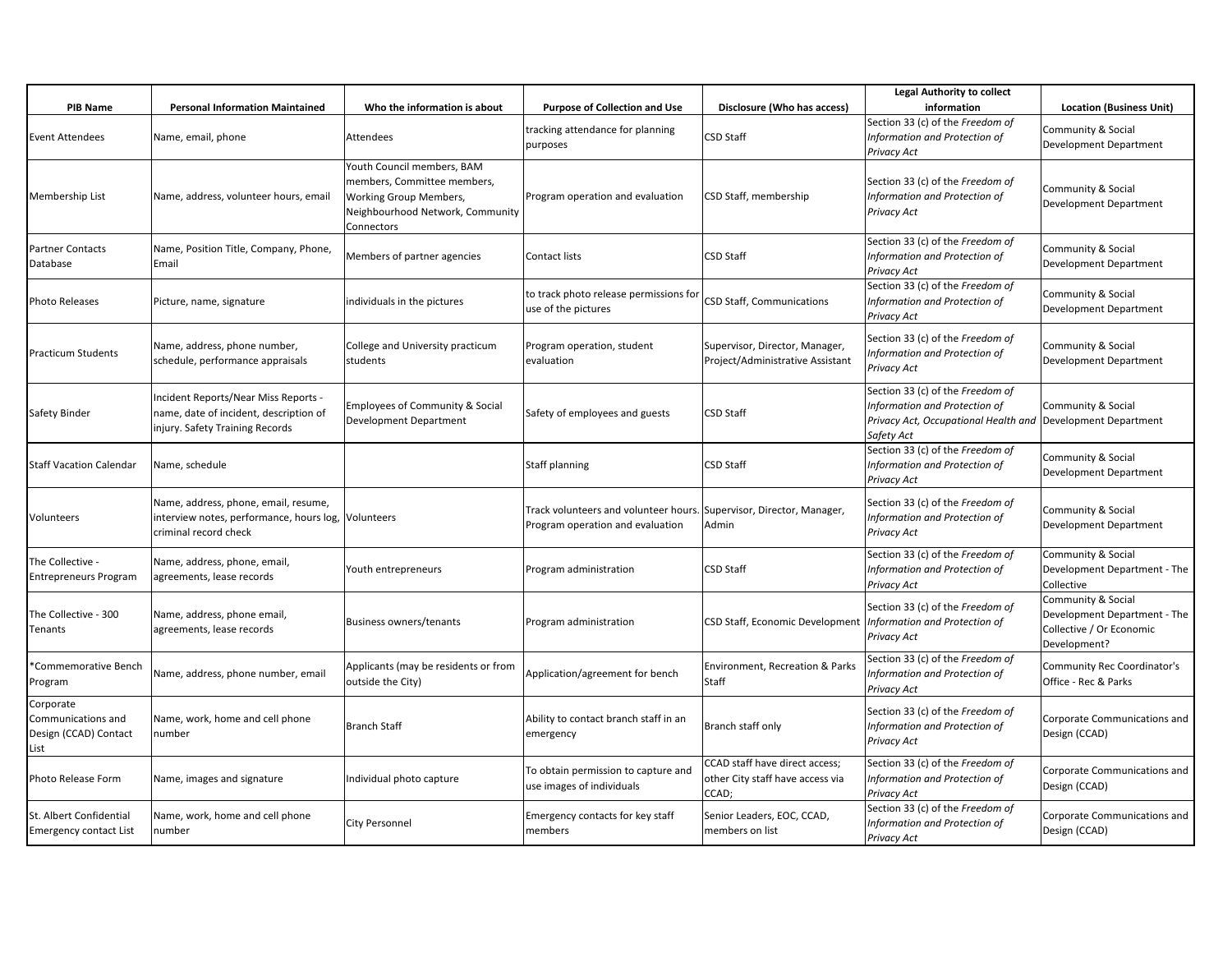|                                                                  |                                                                                                                   |                                                                                                                                       |                                                                           |                                                                             | <b>Legal Authority to collect</b>                                                                                                              |                                                                                                |
|------------------------------------------------------------------|-------------------------------------------------------------------------------------------------------------------|---------------------------------------------------------------------------------------------------------------------------------------|---------------------------------------------------------------------------|-----------------------------------------------------------------------------|------------------------------------------------------------------------------------------------------------------------------------------------|------------------------------------------------------------------------------------------------|
| <b>PIB Name</b>                                                  | <b>Personal Information Maintained</b>                                                                            | Who the information is about                                                                                                          | <b>Purpose of Collection and Use</b>                                      | Disclosure (Who has access)                                                 | information                                                                                                                                    | <b>Location (Business Unit)</b>                                                                |
| Event Attendees                                                  | Name, email, phone                                                                                                | Attendees                                                                                                                             | tracking attendance for planning<br>purposes                              | <b>CSD Staff</b>                                                            | Section 33 (c) of the Freedom of<br>Information and Protection of<br>Privacy Act                                                               | Community & Social<br>Development Department                                                   |
| Membership List                                                  | Name, address, volunteer hours, email                                                                             | Youth Council members, BAM<br>members, Committee members,<br>Working Group Members,<br>Neighbourhood Network, Community<br>Connectors | Program operation and evaluation                                          | CSD Staff, membership                                                       | Section 33 (c) of the Freedom of<br>Information and Protection of<br>Privacy Act                                                               | Community & Social<br>Development Department                                                   |
| Partner Contacts<br>Database                                     | Name, Position Title, Company, Phone,<br>Email                                                                    | Members of partner agencies                                                                                                           | Contact lists                                                             | CSD Staff                                                                   | Section 33 (c) of the Freedom of<br>Information and Protection of<br>Privacy Act                                                               | Community & Social<br>Development Department                                                   |
| Photo Releases                                                   | Picture, name, signature                                                                                          | individuals in the pictures                                                                                                           | to track photo release permissions for<br>use of the pictures             | CSD Staff, Communications                                                   | Section 33 (c) of the Freedom of<br>Information and Protection of<br>Privacy Act                                                               | Community & Social<br>Development Department                                                   |
| Practicum Students                                               | Name, address, phone number,<br>schedule, performance appraisals                                                  | College and University practicum<br>students                                                                                          | Program operation, student<br>evaluation                                  | Supervisor, Director, Manager,<br>Project/Administrative Assistant          | Section 33 (c) of the Freedom of<br>Information and Protection of<br>Privacy Act                                                               | Community & Social<br>Development Department                                                   |
| Safety Binder                                                    | Incident Reports/Near Miss Reports -<br>name, date of incident, description of<br>injury. Safety Training Records | Employees of Community & Social<br>Development Department                                                                             | Safety of employees and guests                                            | <b>CSD Staff</b>                                                            | Section 33 (c) of the Freedom of<br>Information and Protection of<br>Privacy Act, Occupational Health and Development Department<br>Safety Act | Community & Social                                                                             |
| Staff Vacation Calendar                                          | Name, schedule                                                                                                    |                                                                                                                                       | Staff planning                                                            | <b>CSD Staff</b>                                                            | Section 33 (c) of the Freedom of<br>Information and Protection of<br>Privacy Act                                                               | Community & Social<br>Development Department                                                   |
| Volunteers                                                       | Name, address, phone, email, resume,<br>interview notes, performance, hours log,<br>criminal record check         | Volunteers                                                                                                                            | Track volunteers and volunteer hours.<br>Program operation and evaluation | Supervisor, Director, Manager,<br>Admin                                     | Section 33 (c) of the Freedom of<br>Information and Protection of<br>Privacy Act                                                               | Community & Social<br>Development Department                                                   |
| The Collective -<br>Entrepreneurs Program                        | Name, address, phone, email,<br>agreements, lease records                                                         | Youth entrepreneurs                                                                                                                   | Program administration                                                    | <b>CSD Staff</b>                                                            | Section 33 (c) of the Freedom of<br>Information and Protection of<br>Privacy Act                                                               | Community & Social<br>Development Department - The<br>Collective                               |
| The Collective - 300<br>Tenants                                  | Name, address, phone email,<br>agreements, lease records                                                          | <b>Business owners/tenants</b>                                                                                                        | Program administration                                                    | CSD Staff, Economic Development   Information and Protection of             | Section 33 (c) of the Freedom of<br>Privacy Act                                                                                                | Community & Social<br>Development Department - The<br>Collective / Or Economic<br>Development? |
| *Commemorative Bench<br>rogram                                   | Name, address, phone number, email                                                                                | Applicants (may be residents or from<br>outside the City)                                                                             | Application/agreement for bench                                           | Environment, Recreation & Parks<br>Staff                                    | Section 33 (c) of the Freedom of<br>Information and Protection of<br>Privacy Act                                                               | <b>Community Rec Coordinator's</b><br>Office - Rec & Parks                                     |
| Corporate<br>Communications and<br>Design (CCAD) Contact<br>.ist | Name, work, home and cell phone<br>number                                                                         | <b>Branch Staff</b>                                                                                                                   | Ability to contact branch staff in an<br>emergency                        | Branch staff only                                                           | Section 33 (c) of the Freedom of<br>Information and Protection of<br>Privacy Act                                                               | Corporate Communications and<br>Design (CCAD)                                                  |
| Photo Release Form                                               | Name, images and signature                                                                                        | Individual photo capture                                                                                                              | To obtain permission to capture and<br>use images of individuals          | CCAD staff have direct access;<br>other City staff have access via<br>CCAD; | Section 33 (c) of the Freedom of<br>Information and Protection of<br>Privacy Act                                                               | Corporate Communications and<br>Design (CCAD)                                                  |
| St. Albert Confidential<br><b>Emergency contact List</b>         | Name, work, home and cell phone<br>number                                                                         | <b>City Personnel</b>                                                                                                                 | Emergency contacts for key staff<br>members                               | Senior Leaders, EOC, CCAD,<br>members on list                               | Section 33 (c) of the Freedom of<br>Information and Protection of<br>Privacy Act                                                               | Corporate Communications and<br>Design (CCAD)                                                  |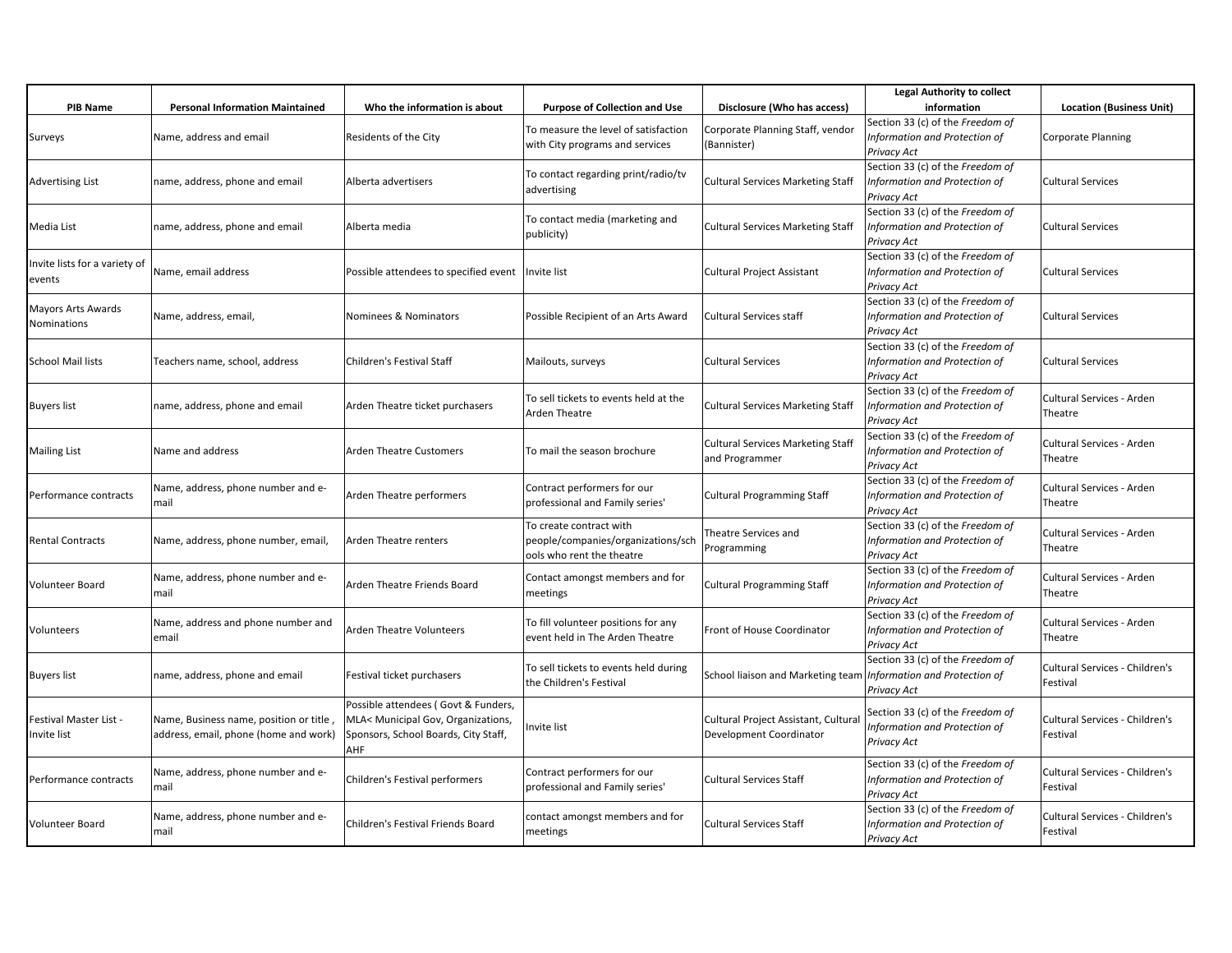|                                         |                                                                                  |                                                                                                                          |                                                                                            |                                                                   | <b>Legal Authority to collect</b>                                                       |                                                   |
|-----------------------------------------|----------------------------------------------------------------------------------|--------------------------------------------------------------------------------------------------------------------------|--------------------------------------------------------------------------------------------|-------------------------------------------------------------------|-----------------------------------------------------------------------------------------|---------------------------------------------------|
| PIB Name                                | <b>Personal Information Maintained</b>                                           | Who the information is about                                                                                             | <b>Purpose of Collection and Use</b>                                                       | Disclosure (Who has access)                                       | information                                                                             | <b>Location (Business Unit)</b>                   |
| Surveys                                 | Name, address and email                                                          | Residents of the City                                                                                                    | To measure the level of satisfaction<br>with City programs and services                    | Corporate Planning Staff, vendor<br>(Bannister)                   | Section 33 (c) of the Freedom of<br>Information and Protection of<br><b>Privacy Act</b> | <b>Corporate Planning</b>                         |
| <b>Advertising List</b>                 | name, address, phone and email                                                   | Alberta advertisers                                                                                                      | To contact regarding print/radio/tv<br>advertising                                         | <b>Cultural Services Marketing Staff</b>                          | Section 33 (c) of the Freedom of<br>Information and Protection of<br>Privacy Act        | <b>Cultural Services</b>                          |
| Media List                              | name, address, phone and email                                                   | Alberta media                                                                                                            | To contact media (marketing and<br>publicity)                                              | <b>Cultural Services Marketing Staff</b>                          | Section 33 (c) of the Freedom of<br>Information and Protection of<br>Privacy Act        | <b>Cultural Services</b>                          |
| Invite lists for a variety of<br>events | Name, email address                                                              | Possible attendees to specified event                                                                                    | Invite list                                                                                | Cultural Project Assistant                                        | Section 33 (c) of the Freedom of<br>Information and Protection of<br>Privacy Act        | <b>Cultural Services</b>                          |
| Mayors Arts Awards<br>Nominations       | Name, address, email,                                                            | Nominees & Nominators                                                                                                    | Possible Recipient of an Arts Award                                                        | Cultural Services staff                                           | Section 33 (c) of the Freedom of<br>Information and Protection of<br><b>Privacy Act</b> | <b>Cultural Services</b>                          |
| School Mail lists                       | Teachers name, school, address                                                   | Children's Festival Staff                                                                                                | Mailouts, surveys                                                                          | <b>Cultural Services</b>                                          | Section 33 (c) of the Freedom of<br>Information and Protection of<br><b>Privacy Act</b> | <b>Cultural Services</b>                          |
| <b>Buyers list</b>                      | name, address, phone and email                                                   | Arden Theatre ticket purchasers                                                                                          | To sell tickets to events held at the<br>Arden Theatre                                     | <b>Cultural Services Marketing Staff</b>                          | Section 33 (c) of the Freedom of<br>Information and Protection of<br>Privacy Act        | Cultural Services - Arden<br>Theatre              |
| <b>Mailing List</b>                     | Name and address                                                                 | <b>Arden Theatre Customers</b>                                                                                           | To mail the season brochure                                                                | <b>Cultural Services Marketing Staff</b><br>and Programmer        | Section 33 (c) of the Freedom of<br>Information and Protection of<br><b>Privacy Act</b> | Cultural Services - Arden<br>Theatre              |
| Performance contracts                   | Name, address, phone number and e-<br>mail                                       | Arden Theatre performers                                                                                                 | Contract performers for our<br>professional and Family series'                             | <b>Cultural Programming Staff</b>                                 | Section 33 (c) of the Freedom of<br>Information and Protection of<br>Privacy Act        | Cultural Services - Arden<br>Theatre              |
| <b>Rental Contracts</b>                 | Name, address, phone number, email,                                              | Arden Theatre renters                                                                                                    | To create contract with<br>people/companies/organizations/sch<br>ools who rent the theatre | Theatre Services and<br>Programming                               | Section 33 (c) of the Freedom of<br>Information and Protection of<br>Privacy Act        | Cultural Services - Arden<br>Theatre              |
| Volunteer Board                         | Name, address, phone number and e-<br>mail                                       | Arden Theatre Friends Board                                                                                              | Contact amongst members and for<br>meetings                                                | <b>Cultural Programming Staff</b>                                 | Section 33 (c) of the Freedom of<br>Information and Protection of<br><b>Privacy Act</b> | Cultural Services - Arden<br>Theatre              |
| Volunteers                              | Name, address and phone number and<br>email                                      | <b>Arden Theatre Volunteers</b>                                                                                          | To fill volunteer positions for any<br>event held in The Arden Theatre                     | Front of House Coordinator                                        | Section 33 (c) of the Freedom of<br>Information and Protection of<br><b>Privacy Act</b> | Cultural Services - Arden<br>Theatre              |
| <b>Buyers list</b>                      | name, address, phone and email                                                   | Festival ticket purchasers                                                                                               | To sell tickets to events held during<br>the Children's Festival                           | School liaison and Marketing team   Information and Protection of | Section 33 (c) of the Freedom of<br>Privacy Act                                         | Cultural Services - Children's<br>Festival        |
| Festival Master List -<br>Invite list   | Name, Business name, position or title,<br>address, email, phone (home and work) | Possible attendees (Govt & Funders,<br>MLA< Municipal Gov, Organizations,<br>Sponsors, School Boards, City Staff,<br>AHF | Invite list                                                                                | Cultural Project Assistant, Cultural<br>Development Coordinator   | Section 33 (c) of the Freedom of<br>Information and Protection of<br><b>Privacy Act</b> | Cultural Services - Children's<br>Festival        |
| Performance contracts                   | Name, address, phone number and e-<br>mail                                       | Children's Festival performers                                                                                           | Contract performers for our<br>professional and Family series'                             | <b>Cultural Services Staff</b>                                    | Section 33 (c) of the Freedom of<br>Information and Protection of<br>Privacy Act        | Cultural Services - Children's<br>Festival        |
| Volunteer Board                         | Name, address, phone number and e-<br>mail                                       | Children's Festival Friends Board                                                                                        | contact amongst members and for<br>meetings                                                | Cultural Services Staff                                           | Section 33 (c) of the Freedom of<br>Information and Protection of<br>Privacy Act        | <b>Cultural Services - Children's</b><br>Festival |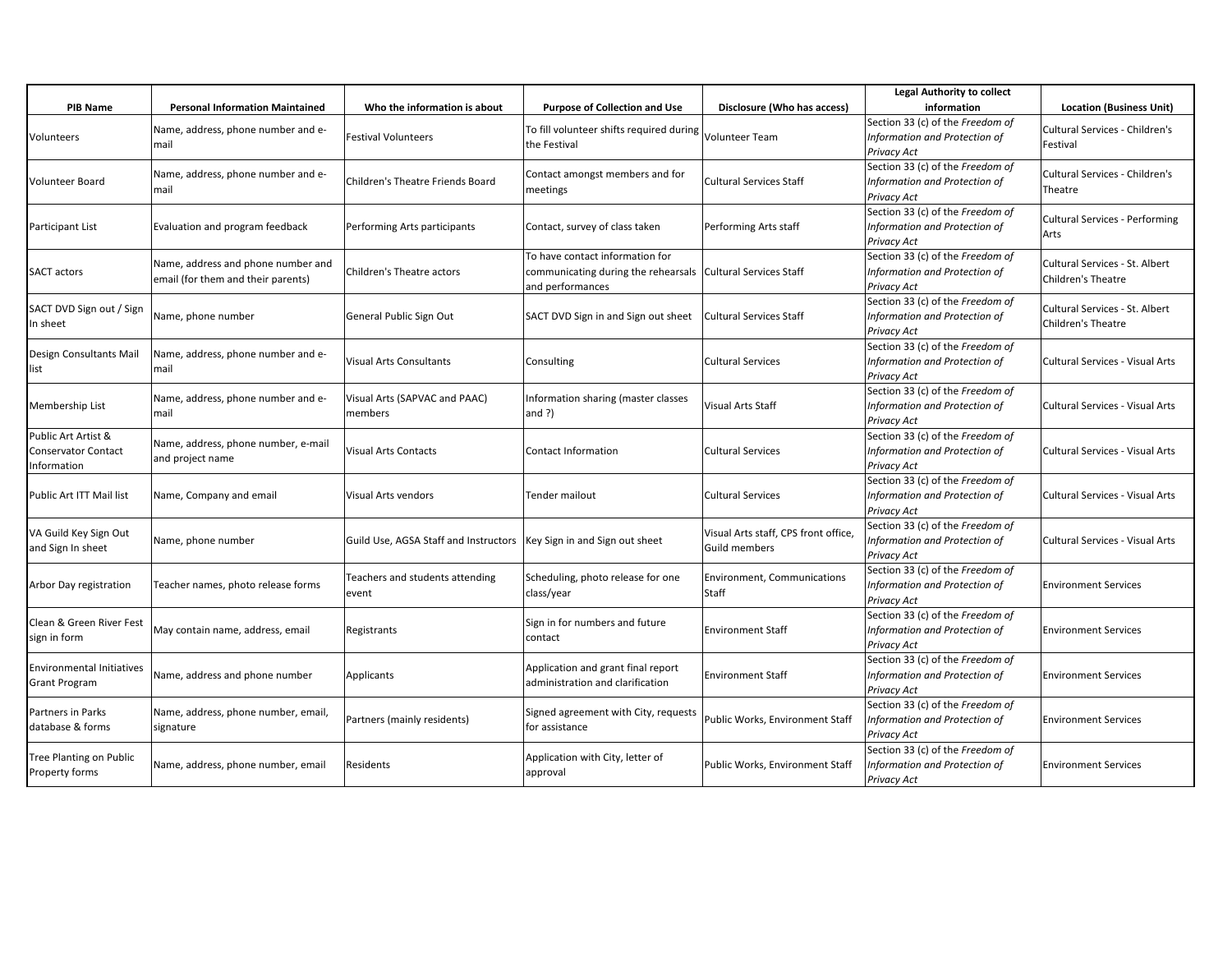|                                                                  |                                                                          |                                                                        |                                                                                                                      |                                                       | <b>Legal Authority to collect</b>                                                |                                                      |
|------------------------------------------------------------------|--------------------------------------------------------------------------|------------------------------------------------------------------------|----------------------------------------------------------------------------------------------------------------------|-------------------------------------------------------|----------------------------------------------------------------------------------|------------------------------------------------------|
| <b>PIB Name</b>                                                  | <b>Personal Information Maintained</b>                                   | Who the information is about                                           | <b>Purpose of Collection and Use</b>                                                                                 | Disclosure (Who has access)                           | information                                                                      | <b>Location (Business Unit)</b>                      |
| Volunteers                                                       | Name, address, phone number and e-<br>mail                               | <b>Festival Volunteers</b>                                             | To fill volunteer shifts required during<br>the Festival                                                             | Volunteer Team                                        | Section 33 (c) of the Freedom of<br>Information and Protection of<br>Privacy Act | Cultural Services - Children's<br>Festival           |
| <b>Volunteer Board</b>                                           | Name, address, phone number and e-<br>mail                               | Children's Theatre Friends Board                                       | Contact amongst members and for<br>meetings                                                                          | <b>Cultural Services Staff</b>                        | Section 33 (c) of the Freedom of<br>Information and Protection of<br>Privacy Act | Cultural Services - Children's<br>Theatre            |
| Participant List                                                 | Evaluation and program feedback                                          | Performing Arts participants                                           | Contact, survey of class taken                                                                                       | Performing Arts staff                                 | Section 33 (c) of the Freedom of<br>Information and Protection of<br>Privacy Act | Cultural Services - Performing<br>Arts               |
| <b>SACT actors</b>                                               | Name, address and phone number and<br>email (for them and their parents) | Children's Theatre actors                                              | To have contact information for<br>communicating during the rehearsals   Cultural Services Staff<br>and performances |                                                       | Section 33 (c) of the Freedom of<br>Information and Protection of<br>Privacy Act | Cultural Services - St. Albert<br>Children's Theatre |
| SACT DVD Sign out / Sign<br>In sheet                             | Name, phone number                                                       | General Public Sign Out                                                | SACT DVD Sign in and Sign out sheet                                                                                  | Cultural Services Staff                               | Section 33 (c) of the Freedom of<br>Information and Protection of<br>Privacy Act | Cultural Services - St. Albert<br>Children's Theatre |
| Design Consultants Mail<br>list                                  | Name, address, phone number and e-<br>mail                               | <b>Visual Arts Consultants</b>                                         | Consulting                                                                                                           | <b>Cultural Services</b>                              | Section 33 (c) of the Freedom of<br>Information and Protection of<br>Privacy Act | Cultural Services - Visual Arts                      |
| Membership List                                                  | Name, address, phone number and e-<br>mail                               | Visual Arts (SAPVAC and PAAC)<br>members                               | Information sharing (master classes<br>and $?$ )                                                                     | Visual Arts Staff                                     | Section 33 (c) of the Freedom of<br>Information and Protection of<br>Privacy Act | Cultural Services - Visual Arts                      |
| Public Art Artist &<br><b>Conservator Contact</b><br>Information | Name, address, phone number, e-mail<br>and project name                  | <b>Visual Arts Contacts</b>                                            | Contact Information                                                                                                  | <b>Cultural Services</b>                              | Section 33 (c) of the Freedom of<br>Information and Protection of<br>Privacy Act | Cultural Services - Visual Arts                      |
| Public Art ITT Mail list                                         | Name, Company and email                                                  | Visual Arts vendors                                                    | <b>Tender mailout</b>                                                                                                | <b>Cultural Services</b>                              | Section 33 (c) of the Freedom of<br>Information and Protection of<br>Privacy Act | Cultural Services - Visual Arts                      |
| VA Guild Key Sign Out<br>and Sign In sheet                       | Name, phone number                                                       | Guild Use, AGSA Staff and Instructors   Key Sign in and Sign out sheet |                                                                                                                      | Visual Arts staff, CPS front office,<br>Guild members | Section 33 (c) of the Freedom of<br>Information and Protection of<br>Privacy Act | Cultural Services - Visual Arts                      |
| Arbor Day registration                                           | Teacher names, photo release forms                                       | Teachers and students attending<br>event                               | Scheduling, photo release for one<br>class/year                                                                      | Environment, Communications<br>Staff                  | Section 33 (c) of the Freedom of<br>Information and Protection of<br>Privacy Act | <b>Environment Services</b>                          |
| Clean & Green River Fest<br>sign in form                         | May contain name, address, email                                         | Registrants                                                            | Sign in for numbers and future<br>contact                                                                            | <b>Environment Staff</b>                              | Section 33 (c) of the Freedom of<br>Information and Protection of<br>Privacy Act | <b>Environment Services</b>                          |
| <b>Environmental Initiatives</b><br><b>Grant Program</b>         | Name, address and phone number                                           | Applicants                                                             | Application and grant final report<br>administration and clarification                                               | <b>Environment Staff</b>                              | Section 33 (c) of the Freedom of<br>Information and Protection of<br>Privacy Act | <b>Environment Services</b>                          |
| Partners in Parks<br>database & forms                            | Name, address, phone number, email,<br>signature                         | Partners (mainly residents)                                            | Signed agreement with City, requests<br>for assistance                                                               | Public Works, Environment Staff                       | Section 33 (c) of the Freedom of<br>Information and Protection of<br>Privacy Act | <b>Environment Services</b>                          |
| <b>Tree Planting on Public</b><br>Property forms                 | Name, address, phone number, email                                       | Residents                                                              | Application with City, letter of<br>approval                                                                         | Public Works, Environment Staff                       | Section 33 (c) of the Freedom of<br>Information and Protection of<br>Privacy Act | <b>Environment Services</b>                          |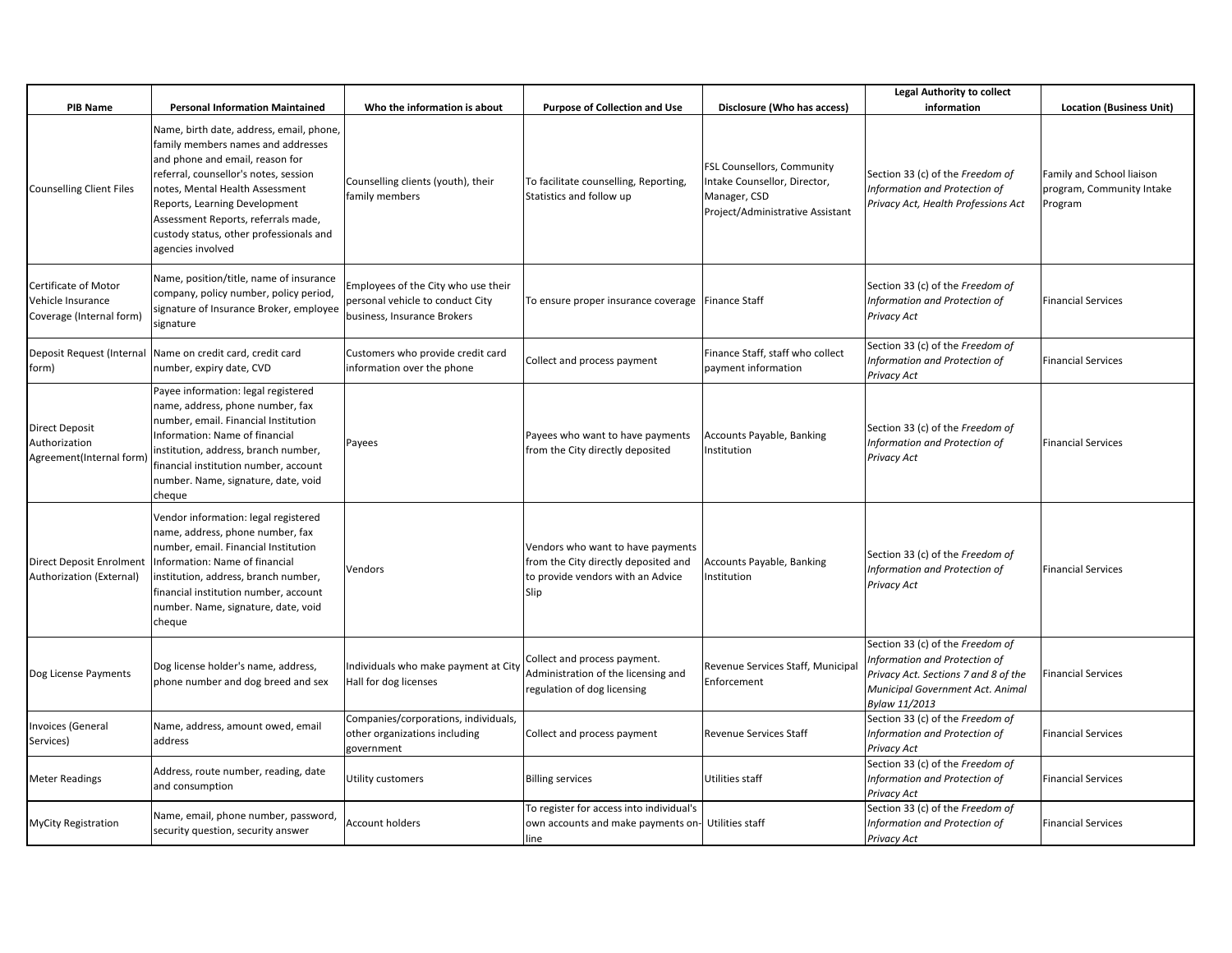|                                                                       |                                                                                                                                                                                                                                                                                                                                       |                                                                                                        |                                                                                                                        |                                                                                                                | <b>Legal Authority to collect</b>                                                                                                                              |                                                                   |
|-----------------------------------------------------------------------|---------------------------------------------------------------------------------------------------------------------------------------------------------------------------------------------------------------------------------------------------------------------------------------------------------------------------------------|--------------------------------------------------------------------------------------------------------|------------------------------------------------------------------------------------------------------------------------|----------------------------------------------------------------------------------------------------------------|----------------------------------------------------------------------------------------------------------------------------------------------------------------|-------------------------------------------------------------------|
| <b>PIB Name</b>                                                       | <b>Personal Information Maintained</b>                                                                                                                                                                                                                                                                                                | Who the information is about                                                                           | <b>Purpose of Collection and Use</b>                                                                                   | Disclosure (Who has access)                                                                                    | information                                                                                                                                                    | <b>Location (Business Unit)</b>                                   |
| <b>Counselling Client Files</b>                                       | Name, birth date, address, email, phone,<br>family members names and addresses<br>and phone and email, reason for<br>referral, counsellor's notes, session<br>notes, Mental Health Assessment<br>Reports, Learning Development<br>Assessment Reports, referrals made,<br>custody status, other professionals and<br>agencies involved | Counselling clients (youth), their<br>family members                                                   | To facilitate counselling, Reporting,<br>Statistics and follow up                                                      | FSL Counsellors, Community<br>Intake Counsellor, Director,<br>Manager, CSD<br>Project/Administrative Assistant | Section 33 (c) of the Freedom of<br>Information and Protection of<br>Privacy Act, Health Professions Act                                                       | Family and School liaison<br>program, Community Intake<br>Program |
| Certificate of Motor<br>Vehicle Insurance<br>Coverage (Internal form) | Name, position/title, name of insurance<br>company, policy number, policy period,<br>signature of Insurance Broker, employee<br>signature                                                                                                                                                                                             | Employees of the City who use their<br>personal vehicle to conduct City<br>business, Insurance Brokers | To ensure proper insurance coverage Finance Staff                                                                      |                                                                                                                | Section 33 (c) of the Freedom of<br>Information and Protection of<br>Privacy Act                                                                               | <b>Financial Services</b>                                         |
| form)                                                                 | Deposit Request (Internal Name on credit card, credit card<br>number, expiry date, CVD                                                                                                                                                                                                                                                | Customers who provide credit card<br>information over the phone                                        | Collect and process payment                                                                                            | Finance Staff, staff who collect<br>payment information                                                        | Section 33 (c) of the Freedom of<br>Information and Protection of<br>Privacy Act                                                                               | <b>Financial Services</b>                                         |
| <b>Direct Deposit</b><br>Authorization<br>Agreement(Internal form)    | Payee information: legal registered<br>name, address, phone number, fax<br>number, email. Financial Institution<br>Information: Name of financial<br>institution, address, branch number,<br>financial institution number, account<br>number. Name, signature, date, void<br>cheque                                                   | Payees                                                                                                 | Payees who want to have payments<br>from the City directly deposited                                                   | Accounts Payable, Banking<br>Institution                                                                       | Section 33 (c) of the Freedom of<br>Information and Protection of<br>Privacy Act                                                                               | <b>Financial Services</b>                                         |
| Direct Deposit Enrolment<br>Authorization (External)                  | Vendor information: legal registered<br>name, address, phone number, fax<br>number, email. Financial Institution<br>Information: Name of financial<br>institution, address, branch number,<br>financial institution number, account<br>number. Name, signature, date, void<br>cheque                                                  | Vendors                                                                                                | Vendors who want to have payments<br>from the City directly deposited and<br>to provide vendors with an Advice<br>Slip | Accounts Payable, Banking<br>Institution                                                                       | Section 33 (c) of the Freedom of<br>Information and Protection of<br>Privacy Act                                                                               | <b>Financial Services</b>                                         |
| Dog License Payments                                                  | Dog license holder's name, address,<br>phone number and dog breed and sex                                                                                                                                                                                                                                                             | Individuals who make payment at City<br>Hall for dog licenses                                          | Collect and process payment.<br>Administration of the licensing and<br>regulation of dog licensing                     | Revenue Services Staff, Municipal<br>Enforcement                                                               | Section 33 (c) of the Freedom of<br>Information and Protection of<br>Privacy Act. Sections 7 and 8 of the<br>Municipal Government Act. Animal<br>Bylaw 11/2013 | <b>Financial Services</b>                                         |
| nvoices (General<br>Services)                                         | Name, address, amount owed, email<br>address                                                                                                                                                                                                                                                                                          | Companies/corporations, individuals,<br>other organizations including<br>government                    | Collect and process payment                                                                                            | Revenue Services Staff                                                                                         | Section 33 (c) of the Freedom of<br>Information and Protection of<br>Privacy Act                                                                               | <b>Financial Services</b>                                         |
| <b>Meter Readings</b>                                                 | Address, route number, reading, date<br>and consumption                                                                                                                                                                                                                                                                               | Utility customers                                                                                      | <b>Billing services</b>                                                                                                | Utilities staff                                                                                                | Section 33 (c) of the Freedom of<br>Information and Protection of<br>Privacy Act                                                                               | <b>Financial Services</b>                                         |
| <b>MyCity Registration</b>                                            | Name, email, phone number, password,<br>security question, security answer                                                                                                                                                                                                                                                            | <b>Account holders</b>                                                                                 | To register for access into individual's<br>own accounts and make payments on- Utilities staff<br>line                 |                                                                                                                | Section 33 (c) of the Freedom of<br>Information and Protection of<br>Privacy Act                                                                               | <b>Financial Services</b>                                         |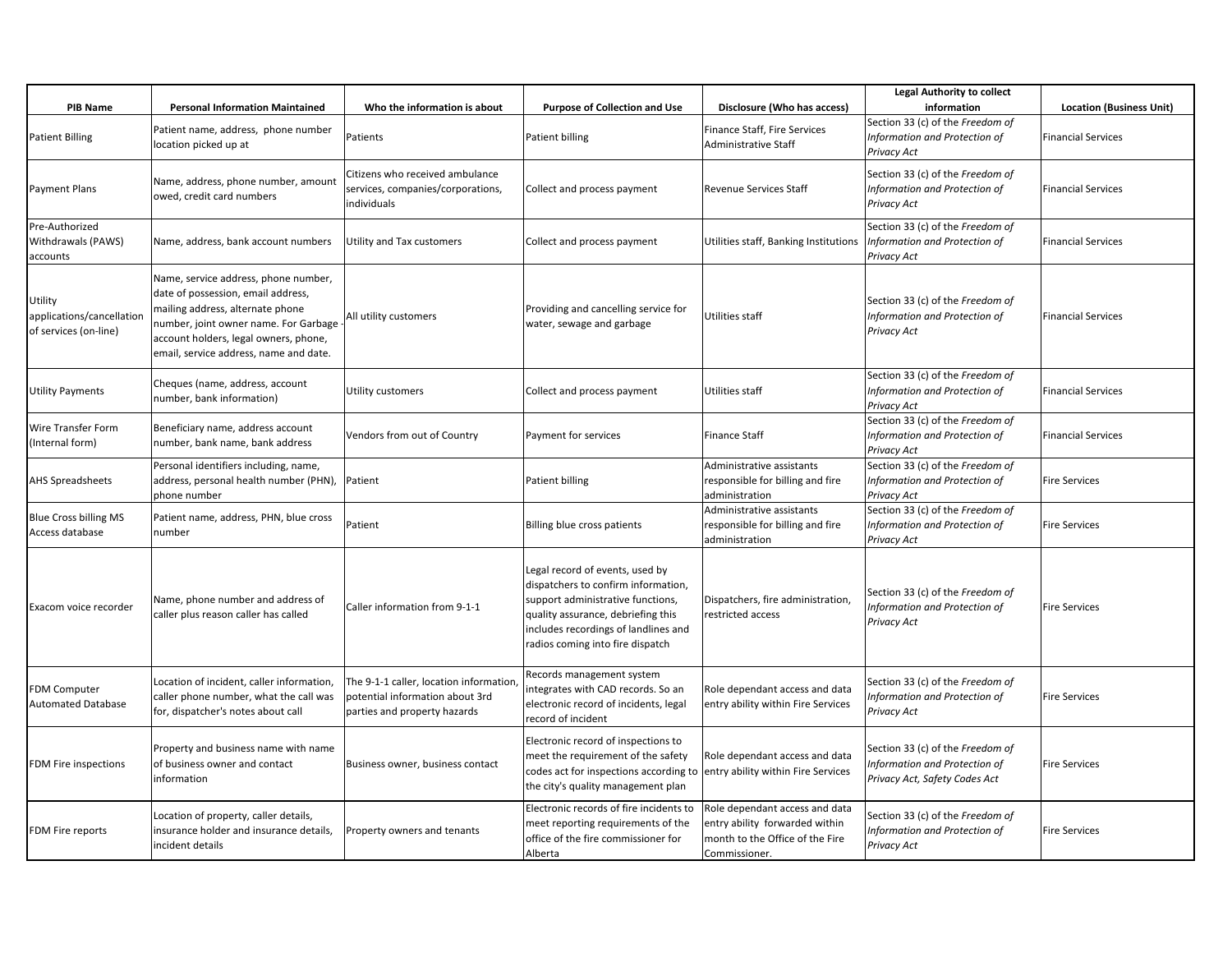| <b>PIB Name</b>                                               | <b>Personal Information Maintained</b>                                                                                                                                                                                                     | Who the information is about                                                                               | <b>Purpose of Collection and Use</b>                                                                                                                                                                                          | Disclosure (Who has access)                                                                                          | <b>Legal Authority to collect</b><br>information                                                   | <b>Location (Business Unit)</b> |
|---------------------------------------------------------------|--------------------------------------------------------------------------------------------------------------------------------------------------------------------------------------------------------------------------------------------|------------------------------------------------------------------------------------------------------------|-------------------------------------------------------------------------------------------------------------------------------------------------------------------------------------------------------------------------------|----------------------------------------------------------------------------------------------------------------------|----------------------------------------------------------------------------------------------------|---------------------------------|
| Patient Billing                                               | Patient name, address, phone number<br>location picked up at                                                                                                                                                                               | Patients                                                                                                   | Patient billing                                                                                                                                                                                                               | Finance Staff, Fire Services<br>Administrative Staff                                                                 | Section 33 (c) of the Freedom of<br>Information and Protection of<br>Privacy Act                   | <b>Financial Services</b>       |
| Payment Plans                                                 | Name, address, phone number, amount<br>owed, credit card numbers                                                                                                                                                                           | Citizens who received ambulance<br>services, companies/corporations,<br>individuals                        | Collect and process payment                                                                                                                                                                                                   | <b>Revenue Services Staff</b>                                                                                        | Section 33 (c) of the Freedom of<br>Information and Protection of<br>Privacy Act                   | <b>Financial Services</b>       |
| Pre-Authorized<br>Withdrawals (PAWS)<br>accounts              | Name, address, bank account numbers                                                                                                                                                                                                        | Utility and Tax customers                                                                                  | Collect and process payment                                                                                                                                                                                                   | Utilities staff, Banking Institutions                                                                                | Section 33 (c) of the Freedom of<br>Information and Protection of<br>Privacy Act                   | <b>Financial Services</b>       |
| Utility<br>applications/cancellation<br>of services (on-line) | Name, service address, phone number,<br>date of possession, email address,<br>mailing address, alternate phone<br>number, joint owner name. For Garbage<br>account holders, legal owners, phone,<br>email, service address, name and date. | All utility customers                                                                                      | Providing and cancelling service for<br>water, sewage and garbage                                                                                                                                                             | Utilities staff                                                                                                      | Section 33 (c) of the Freedom of<br>Information and Protection of<br>Privacy Act                   | <b>Financial Services</b>       |
| <b>Utility Payments</b>                                       | Cheques (name, address, account<br>number, bank information)                                                                                                                                                                               | Utility customers                                                                                          | Collect and process payment                                                                                                                                                                                                   | Utilities staff                                                                                                      | Section 33 (c) of the Freedom of<br>Information and Protection of<br>Privacy Act                   | <b>Financial Services</b>       |
| Wire Transfer Form<br>(Internal form)                         | Beneficiary name, address account<br>number, bank name, bank address                                                                                                                                                                       | Vendors from out of Country                                                                                | Payment for services                                                                                                                                                                                                          | <b>Finance Staff</b>                                                                                                 | Section 33 (c) of the Freedom of<br>Information and Protection of<br>Privacy Act                   | <b>Financial Services</b>       |
| <b>AHS Spreadsheets</b>                                       | Personal identifiers including, name,<br>address, personal health number (PHN),<br>phone number                                                                                                                                            | Patient                                                                                                    | Patient billing                                                                                                                                                                                                               | Administrative assistants<br>responsible for billing and fire<br>administration                                      | Section 33 (c) of the Freedom of<br>Information and Protection of<br><b>Privacy Act</b>            | <b>Fire Services</b>            |
| <b>Blue Cross billing MS</b><br>Access database               | Patient name, address, PHN, blue cross<br>number                                                                                                                                                                                           | Patient                                                                                                    | Billing blue cross patients                                                                                                                                                                                                   | Administrative assistants<br>responsible for billing and fire<br>administration                                      | Section 33 (c) of the Freedom of<br>Information and Protection of<br><b>Privacy Act</b>            | <b>Fire Services</b>            |
| Exacom voice recorder                                         | Name, phone number and address of<br>caller plus reason caller has called                                                                                                                                                                  | Caller information from 9-1-1                                                                              | Legal record of events, used by<br>dispatchers to confirm information,<br>support administrative functions,<br>quality assurance, debriefing this<br>includes recordings of landlines and<br>radios coming into fire dispatch | Dispatchers, fire administration,<br>restricted access                                                               | Section 33 (c) of the Freedom of<br>Information and Protection of<br>Privacy Act                   | <b>Fire Services</b>            |
| FDM Computer<br><b>Automated Database</b>                     | Location of incident, caller information,<br>caller phone number, what the call was<br>for, dispatcher's notes about call                                                                                                                  | The 9-1-1 caller, location information,<br>potential information about 3rd<br>parties and property hazards | Records management system<br>integrates with CAD records. So an<br>electronic record of incidents, legal<br>record of incident                                                                                                | Role dependant access and data<br>entry ability within Fire Services                                                 | Section 33 (c) of the Freedom of<br>Information and Protection of<br>Privacy Act                   | <b>Fire Services</b>            |
| FDM Fire inspections                                          | Property and business name with name<br>of business owner and contact<br>information                                                                                                                                                       | Business owner, business contact                                                                           | Electronic record of inspections to<br>meet the requirement of the safety<br>codes act for inspections according to<br>the city's quality management plan                                                                     | Role dependant access and data<br>entry ability within Fire Services                                                 | Section 33 (c) of the Freedom of<br>Information and Protection of<br>Privacy Act, Safety Codes Act | <b>Fire Services</b>            |
| FDM Fire reports                                              | Location of property, caller details,<br>insurance holder and insurance details,<br>incident details                                                                                                                                       | Property owners and tenants                                                                                | Electronic records of fire incidents to<br>meet reporting requirements of the<br>office of the fire commissioner for<br>Alberta                                                                                               | Role dependant access and data<br>entry ability forwarded within<br>month to the Office of the Fire<br>Commissioner. | Section 33 (c) of the Freedom of<br>Information and Protection of<br>Privacy Act                   | <b>Fire Services</b>            |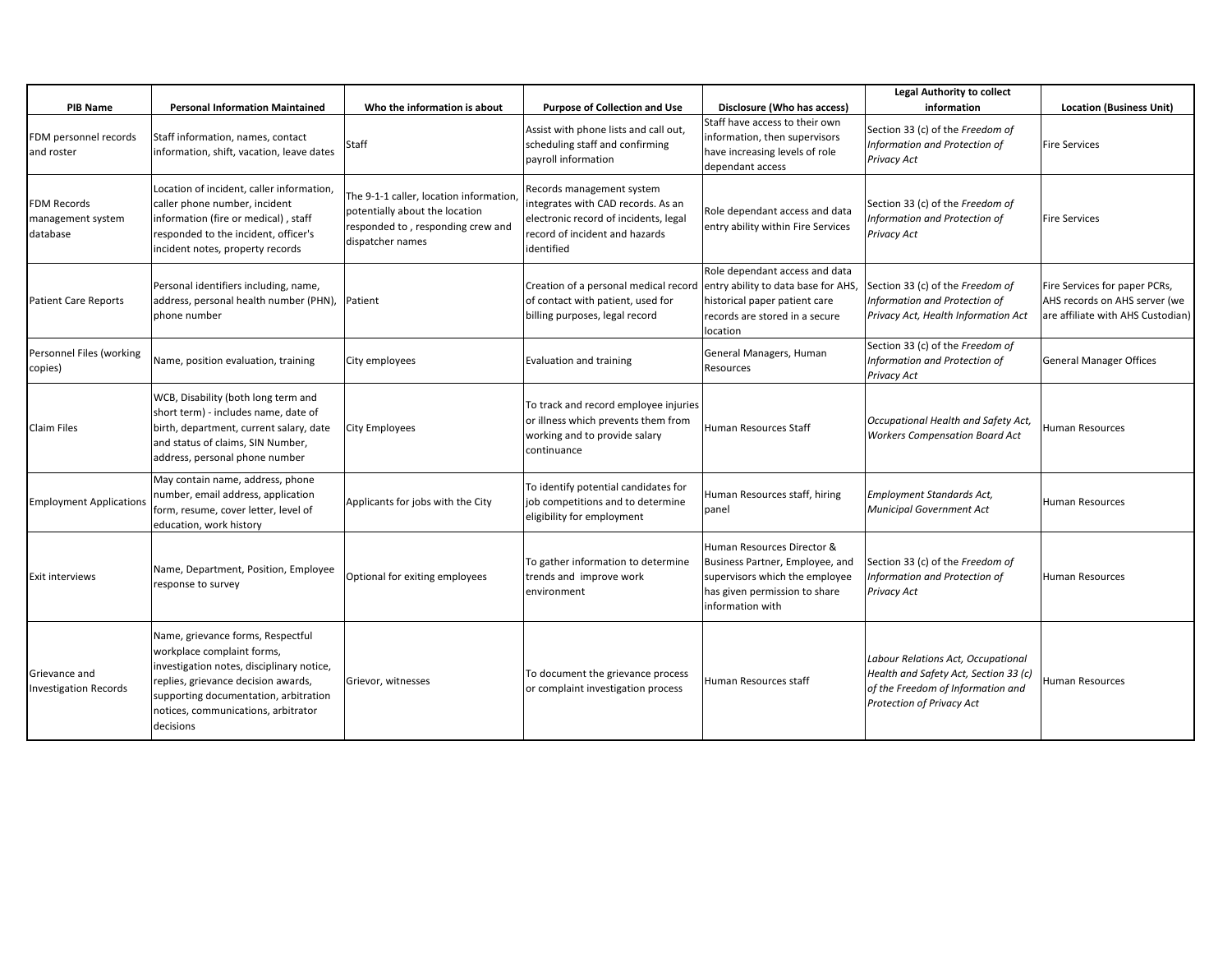| <b>PIB Name</b>                               | <b>Personal Information Maintained</b>                                                                                                                                                                                                           | Who the information is about                                                                                                      | <b>Purpose of Collection and Use</b>                                                                                                                     | Disclosure (Who has access)                                                                                                                          | <b>Legal Authority to collect</b><br>information                                                                                              | <b>Location (Business Unit)</b>                                                                     |
|-----------------------------------------------|--------------------------------------------------------------------------------------------------------------------------------------------------------------------------------------------------------------------------------------------------|-----------------------------------------------------------------------------------------------------------------------------------|----------------------------------------------------------------------------------------------------------------------------------------------------------|------------------------------------------------------------------------------------------------------------------------------------------------------|-----------------------------------------------------------------------------------------------------------------------------------------------|-----------------------------------------------------------------------------------------------------|
| FDM personnel records<br>and roster           | Staff information, names, contact<br>information, shift, vacation, leave dates                                                                                                                                                                   | Staff                                                                                                                             | Assist with phone lists and call out,<br>scheduling staff and confirming<br>payroll information                                                          | Staff have access to their own<br>information, then supervisors<br>have increasing levels of role<br>dependant access                                | Section 33 (c) of the Freedom of<br>Information and Protection of<br>Privacy Act                                                              | <b>Fire Services</b>                                                                                |
| FDM Records<br>management system<br>database  | Location of incident, caller information,<br>caller phone number, incident<br>information (fire or medical), staff<br>responded to the incident, officer's<br>incident notes, property records                                                   | The 9-1-1 caller, location information<br>potentially about the location<br>responded to, responding crew and<br>dispatcher names | Records management system<br>integrates with CAD records. As an<br>electronic record of incidents, legal<br>record of incident and hazards<br>identified | Role dependant access and data<br>entry ability within Fire Services                                                                                 | Section 33 (c) of the Freedom of<br>Information and Protection of<br>Privacy Act                                                              | <b>Fire Services</b>                                                                                |
| <b>Patient Care Reports</b>                   | Personal identifiers including, name,<br>address, personal health number (PHN),<br>phone number                                                                                                                                                  | Patient                                                                                                                           | Creation of a personal medical record entry ability to data base for AHS,<br>of contact with patient, used for<br>billing purposes, legal record         | Role dependant access and data<br>historical paper patient care<br>records are stored in a secure<br>location                                        | Section 33 (c) of the Freedom of<br>Information and Protection of<br>Privacy Act, Health Information Act                                      | Fire Services for paper PCRs,<br>AHS records on AHS server (we<br>are affiliate with AHS Custodian) |
| Personnel Files (working<br>copies)           | Name, position evaluation, training                                                                                                                                                                                                              | City employees                                                                                                                    | Evaluation and training                                                                                                                                  | General Managers, Human<br>Resources                                                                                                                 | Section 33 (c) of the Freedom of<br>Information and Protection of<br>Privacy Act                                                              | <b>General Manager Offices</b>                                                                      |
| <b>Claim Files</b>                            | WCB, Disability (both long term and<br>short term) - includes name, date of<br>birth, department, current salary, date<br>and status of claims, SIN Number,<br>address, personal phone number                                                    | City Employees                                                                                                                    | To track and record employee injuries<br>or illness which prevents them from<br>working and to provide salary<br>continuance                             | Human Resources Staff                                                                                                                                | Occupational Health and Safety Act,<br><b>Workers Compensation Board Act</b>                                                                  | Human Resources                                                                                     |
| <b>Employment Applications</b>                | May contain name, address, phone<br>number, email address, application<br>form, resume, cover letter, level of<br>education, work history                                                                                                        | Applicants for jobs with the City                                                                                                 | To identify potential candidates for<br>job competitions and to determine<br>eligibility for employment                                                  | Human Resources staff, hiring<br>panel                                                                                                               | <b>Employment Standards Act,</b><br>Municipal Government Act                                                                                  | Human Resources                                                                                     |
| Exit interviews                               | Name, Department, Position, Employee<br>response to survey                                                                                                                                                                                       | Optional for exiting employees                                                                                                    | To gather information to determine<br>trends and improve work<br>environment                                                                             | Human Resources Director &<br>Business Partner, Employee, and<br>supervisors which the employee<br>has given permission to share<br>information with | Section 33 (c) of the Freedom of<br>Information and Protection of<br>Privacy Act                                                              | Human Resources                                                                                     |
| Grievance and<br><b>Investigation Records</b> | Name, grievance forms, Respectful<br>workplace complaint forms,<br>investigation notes, disciplinary notice,<br>replies, grievance decision awards,<br>supporting documentation, arbitration<br>notices, communications, arbitrator<br>decisions | Grievor, witnesses                                                                                                                | To document the grievance process<br>or complaint investigation process                                                                                  | Human Resources staff                                                                                                                                | Labour Relations Act, Occupational<br>Health and Safety Act, Section 33 (c)<br>of the Freedom of Information and<br>Protection of Privacy Act | <b>Human Resources</b>                                                                              |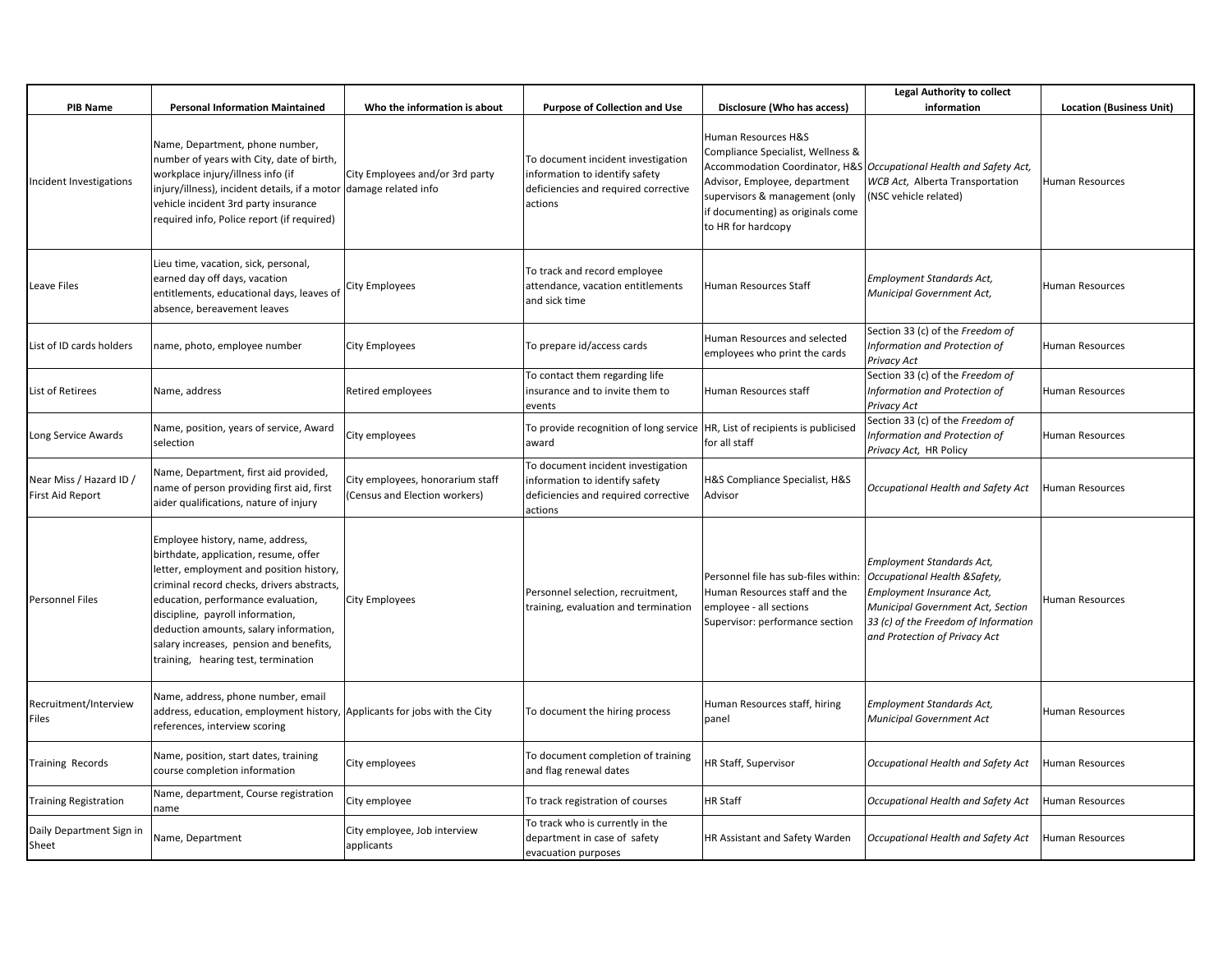| <b>PIB Name</b>                                    | <b>Personal Information Maintained</b>                                                                                                                                                                                                                                                                                                                                    | Who the information is about                                      | <b>Purpose of Collection and Use</b>                                                                                    | Disclosure (Who has access)                                                                                                                                                            | <b>Legal Authority to collect</b><br>information                                                                                                                                                      | <b>Location (Business Unit)</b> |
|----------------------------------------------------|---------------------------------------------------------------------------------------------------------------------------------------------------------------------------------------------------------------------------------------------------------------------------------------------------------------------------------------------------------------------------|-------------------------------------------------------------------|-------------------------------------------------------------------------------------------------------------------------|----------------------------------------------------------------------------------------------------------------------------------------------------------------------------------------|-------------------------------------------------------------------------------------------------------------------------------------------------------------------------------------------------------|---------------------------------|
| Incident Investigations                            | Name, Department, phone number,<br>number of years with City, date of birth,<br>workplace injury/illness info (if<br>injury/illness), incident details, if a motor  damage related info<br>vehicle incident 3rd party insurance<br>required info, Police report (if required)                                                                                             | City Employees and/or 3rd party                                   | To document incident investigation<br>information to identify safety<br>deficiencies and required corrective<br>actions | Human Resources H&S<br>Compliance Specialist, Wellness &<br>Advisor, Employee, department<br>supervisors & management (only<br>if documenting) as originals come<br>to HR for hardcopy | Accommodation Coordinator, H&S Occupational Health and Safety Act,<br>WCB Act, Alberta Transportation<br>(NSC vehicle related)                                                                        | <b>Human Resources</b>          |
| Leave Files                                        | Lieu time, vacation, sick, personal,<br>earned day off days, vacation<br>entitlements, educational days, leaves of<br>absence, bereavement leaves                                                                                                                                                                                                                         | City Employees                                                    | To track and record employee<br>attendance, vacation entitlements<br>and sick time                                      | Human Resources Staff                                                                                                                                                                  | Employment Standards Act,<br>Municipal Government Act,                                                                                                                                                | <b>Human Resources</b>          |
| List of ID cards holders                           | name, photo, employee number                                                                                                                                                                                                                                                                                                                                              | City Employees                                                    | To prepare id/access cards                                                                                              | Human Resources and selected<br>employees who print the cards                                                                                                                          | Section 33 (c) of the Freedom of<br>Information and Protection of<br><b>Privacy Act</b>                                                                                                               | Human Resources                 |
| List of Retirees                                   | Name, address                                                                                                                                                                                                                                                                                                                                                             | Retired employees                                                 | To contact them regarding life<br>insurance and to invite them to<br>events                                             | Human Resources staff                                                                                                                                                                  | Section 33 (c) of the Freedom of<br>Information and Protection of<br>Privacy Act                                                                                                                      | <b>Human Resources</b>          |
| Long Service Awards                                | Name, position, years of service, Award<br>selection                                                                                                                                                                                                                                                                                                                      | City employees                                                    | To provide recognition of long service<br>award                                                                         | HR, List of recipients is publicised<br>for all staff                                                                                                                                  | Section 33 (c) of the Freedom of<br>Information and Protection of<br>Privacy Act, HR Policy                                                                                                           | Human Resources                 |
| Near Miss / Hazard ID /<br><b>First Aid Report</b> | Name, Department, first aid provided,<br>name of person providing first aid, first<br>aider qualifications, nature of injury                                                                                                                                                                                                                                              | City employees, honorarium staff<br>(Census and Election workers) | To document incident investigation<br>information to identify safety<br>deficiencies and required corrective<br>actions | <b>1&amp;S Compliance Specialist, H&amp;S</b><br>Advisor                                                                                                                               | Occupational Health and Safety Act                                                                                                                                                                    | Human Resources                 |
| Personnel Files                                    | Employee history, name, address,<br>birthdate, application, resume, offer<br>letter, employment and position history,<br>criminal record checks, drivers abstracts,<br>education, performance evaluation,<br>discipline, payroll information,<br>deduction amounts, salary information,<br>salary increases, pension and benefits,<br>training, hearing test, termination | City Employees                                                    | Personnel selection, recruitment,<br>training, evaluation and termination                                               | Personnel file has sub-files within:<br>Human Resources staff and the<br>employee - all sections<br>Supervisor: performance section                                                    | Employment Standards Act,<br>Occupational Health & Safety,<br>Employment Insurance Act,<br>Municipal Government Act, Section<br>33 (c) of the Freedom of Information<br>and Protection of Privacy Act | Human Resources                 |
| Recruitment/Interview<br>Files                     | Name, address, phone number, email<br>address, education, employment history, Applicants for jobs with the City<br>references, interview scoring                                                                                                                                                                                                                          |                                                                   | To document the hiring process                                                                                          | Human Resources staff, hiring<br>panel                                                                                                                                                 | Employment Standards Act,<br>Municipal Government Act                                                                                                                                                 | Human Resources                 |
| Training Records                                   | Name, position, start dates, training<br>course completion information                                                                                                                                                                                                                                                                                                    | City employees                                                    | To document completion of training<br>and flag renewal dates                                                            | HR Staff, Supervisor                                                                                                                                                                   | Occupational Health and Safety Act                                                                                                                                                                    | Human Resources                 |
| <b>Training Registration</b>                       | Name, department, Course registration<br>name                                                                                                                                                                                                                                                                                                                             | City employee                                                     | To track registration of courses                                                                                        | <b>HR Staff</b>                                                                                                                                                                        | Occupational Health and Safety Act                                                                                                                                                                    | Human Resources                 |
| Daily Department Sign in<br>Sheet                  | Name, Department                                                                                                                                                                                                                                                                                                                                                          | City employee, Job interview<br>applicants                        | To track who is currently in the<br>department in case of safety<br>evacuation purposes                                 | HR Assistant and Safety Warden                                                                                                                                                         | Occupational Health and Safety Act                                                                                                                                                                    | Human Resources                 |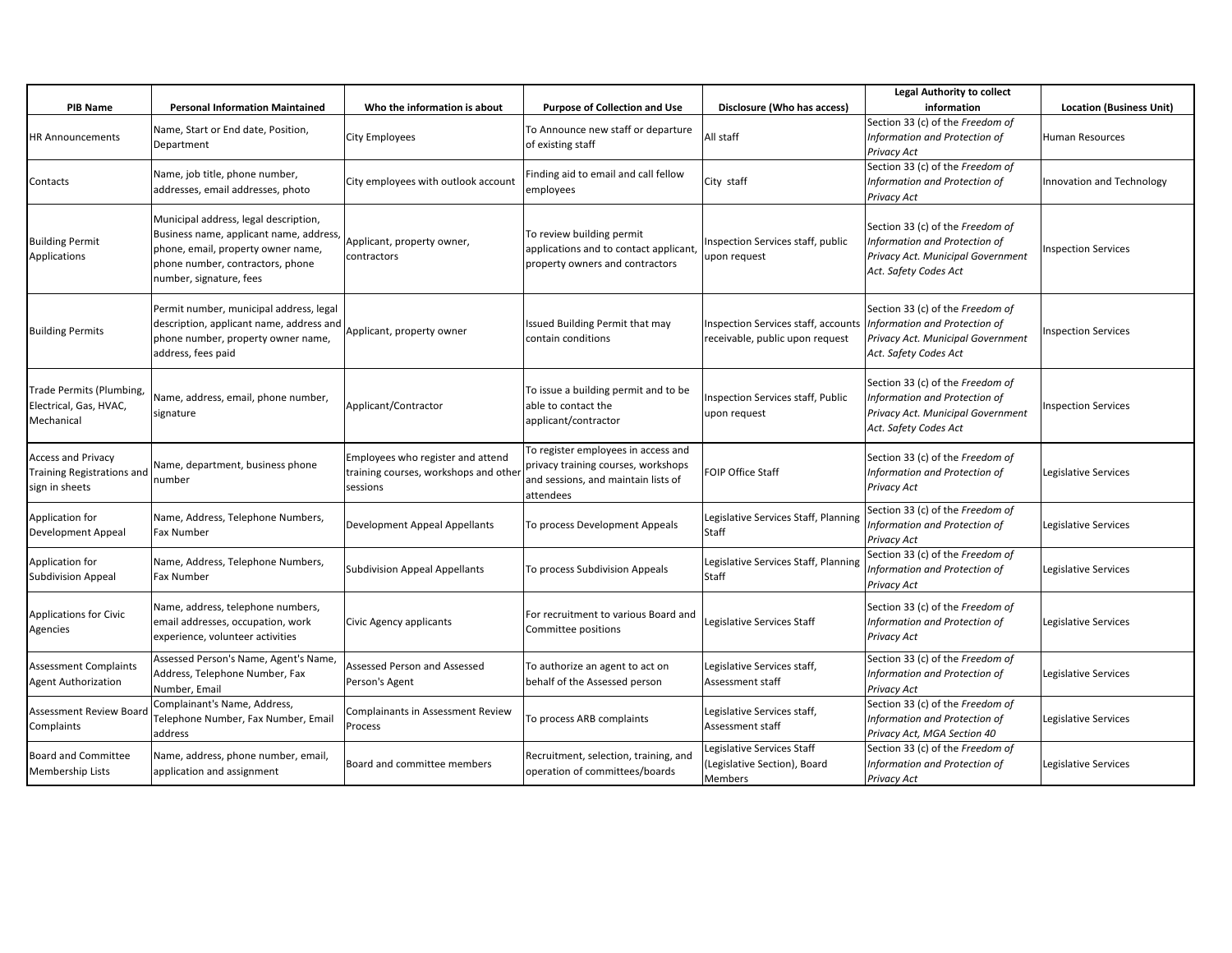| <b>PIB Name</b>                                                           | <b>Personal Information Maintained</b>                                                                                                                                                | Who the information is about                                                          | <b>Purpose of Collection and Use</b>                                                                                           | Disclosure (Who has access)                                            | <b>Legal Authority to collect</b><br>information                                                                                | <b>Location (Business Unit)</b> |
|---------------------------------------------------------------------------|---------------------------------------------------------------------------------------------------------------------------------------------------------------------------------------|---------------------------------------------------------------------------------------|--------------------------------------------------------------------------------------------------------------------------------|------------------------------------------------------------------------|---------------------------------------------------------------------------------------------------------------------------------|---------------------------------|
| <b>HR Announcements</b>                                                   | Name, Start or End date, Position,<br>Department                                                                                                                                      | <b>City Employees</b>                                                                 | To Announce new staff or departure<br>of existing staff                                                                        | All staff                                                              | Section 33 (c) of the Freedom of<br>Information and Protection of<br>Privacy Act                                                | Human Resources                 |
| Contacts                                                                  | Name, job title, phone number,<br>addresses, email addresses, photo                                                                                                                   | City employees with outlook account                                                   | Finding aid to email and call fellow<br>employees                                                                              | City staff                                                             | Section 33 (c) of the Freedom of<br>Information and Protection of<br>Privacy Act                                                | Innovation and Technology       |
| <b>Building Permit</b><br>Applications                                    | Municipal address, legal description,<br>Business name, applicant name, address,<br>phone, email, property owner name,<br>phone number, contractors, phone<br>number, signature, fees | Applicant, property owner,<br>contractors                                             | To review building permit<br>applications and to contact applicant,<br>property owners and contractors                         | Inspection Services staff, public<br>upon request                      | Section 33 (c) of the Freedom of<br>Information and Protection of<br>Privacy Act. Municipal Government<br>Act. Safety Codes Act | <b>Inspection Services</b>      |
| <b>Building Permits</b>                                                   | Permit number, municipal address, legal<br>description, applicant name, address and<br>phone number, property owner name,<br>address, fees paid                                       | Applicant, property owner                                                             | Issued Building Permit that may<br>contain conditions                                                                          | Inspection Services staff, accounts<br>receivable, public upon request | Section 33 (c) of the Freedom of<br>Information and Protection of<br>Privacy Act. Municipal Government<br>Act. Safety Codes Act | <b>Inspection Services</b>      |
| Trade Permits (Plumbing,<br>Electrical, Gas, HVAC,<br>Mechanical          | Name, address, email, phone number,<br>signature                                                                                                                                      | Applicant/Contractor                                                                  | To issue a building permit and to be<br>able to contact the<br>applicant/contractor                                            | Inspection Services staff, Public<br>upon request                      | Section 33 (c) of the Freedom of<br>Information and Protection of<br>Privacy Act. Municipal Government<br>Act. Safety Codes Act | <b>Inspection Services</b>      |
| <b>Access and Privacy</b><br>Training Registrations and<br>sign in sheets | Name, department, business phone<br>number                                                                                                                                            | Employees who register and attend<br>training courses, workshops and othe<br>sessions | To register employees in access and<br>privacy training courses, workshops<br>and sessions, and maintain lists of<br>attendees | <b>FOIP Office Staff</b>                                               | Section 33 (c) of the Freedom of<br>Information and Protection of<br>Privacy Act                                                | Legislative Services            |
| Application for<br><b>Development Appeal</b>                              | Name, Address, Telephone Numbers,<br>Fax Number                                                                                                                                       | Development Appeal Appellants                                                         | To process Development Appeals                                                                                                 | Legislative Services Staff, Planning<br>Staff                          | Section 33 (c) of the Freedom of<br>Information and Protection of<br>Privacy Act                                                | Legislative Services            |
| Application for<br><b>Subdivision Appeal</b>                              | Name, Address, Telephone Numbers,<br>Fax Number                                                                                                                                       | Subdivision Appeal Appellants                                                         | To process Subdivision Appeals                                                                                                 | Legislative Services Staff, Planning<br>Staff                          | Section 33 (c) of the Freedom of<br>Information and Protection of<br>Privacy Act                                                | Legislative Services            |
| Applications for Civic<br>Agencies                                        | Name, address, telephone numbers,<br>email addresses, occupation, work<br>experience, volunteer activities                                                                            | Civic Agency applicants                                                               | For recruitment to various Board and<br>Committee positions                                                                    | Legislative Services Staff                                             | Section 33 (c) of the Freedom of<br>Information and Protection of<br>Privacy Act                                                | Legislative Services            |
| <b>Assessment Complaints</b><br><b>Agent Authorization</b>                | Assessed Person's Name, Agent's Name,<br>Address, Telephone Number, Fax<br>Number, Email                                                                                              | Assessed Person and Assessed<br>Person's Agent                                        | To authorize an agent to act on<br>behalf of the Assessed person                                                               | Legislative Services staff,<br>Assessment staff                        | Section 33 (c) of the Freedom of<br>Information and Protection of<br>Privacy Act                                                | Legislative Services            |
| Assessment Review Board<br>Complaints                                     | Complainant's Name, Address,<br>Telephone Number, Fax Number, Email<br>address                                                                                                        | Complainants in Assessment Review<br>Process                                          | To process ARB complaints                                                                                                      | Legislative Services staff,<br>Assessment staff                        | Section 33 (c) of the Freedom of<br>Information and Protection of<br>Privacy Act, MGA Section 40                                | Legislative Services            |
| <b>Board and Committee</b><br><b>Membership Lists</b>                     | Name, address, phone number, email,<br>application and assignment                                                                                                                     | Board and committee members                                                           | Recruitment, selection, training, and<br>operation of committees/boards                                                        | Legislative Services Staff<br>(Legislative Section), Board<br>Members  | Section 33 (c) of the Freedom of<br>Information and Protection of<br>Privacy Act                                                | Legislative Services            |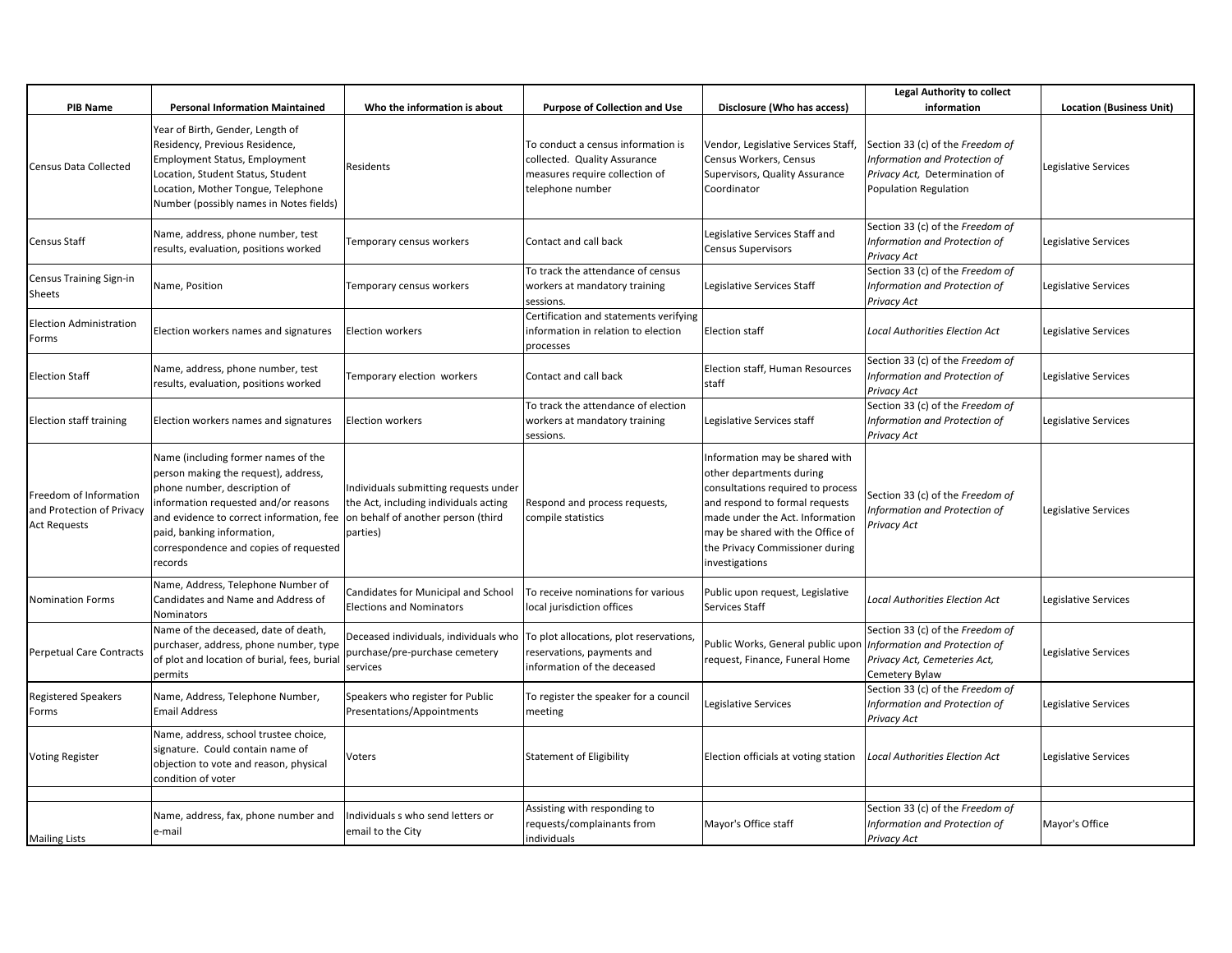|                                                                           |                                                                                                                                                                                                                                                                                    |                                                                                                                                  |                                                                                                                          |                                                                                                                                                                                                                                                               | <b>Legal Authority to collect</b>                                                                                           |                                 |
|---------------------------------------------------------------------------|------------------------------------------------------------------------------------------------------------------------------------------------------------------------------------------------------------------------------------------------------------------------------------|----------------------------------------------------------------------------------------------------------------------------------|--------------------------------------------------------------------------------------------------------------------------|---------------------------------------------------------------------------------------------------------------------------------------------------------------------------------------------------------------------------------------------------------------|-----------------------------------------------------------------------------------------------------------------------------|---------------------------------|
| <b>PIB Name</b>                                                           | <b>Personal Information Maintained</b>                                                                                                                                                                                                                                             | Who the information is about                                                                                                     | <b>Purpose of Collection and Use</b>                                                                                     | Disclosure (Who has access)                                                                                                                                                                                                                                   | information                                                                                                                 | <b>Location (Business Unit)</b> |
| Census Data Collected                                                     | Year of Birth, Gender, Length of<br>Residency, Previous Residence,<br><b>Employment Status, Employment</b><br>Location, Student Status, Student<br>Location, Mother Tongue, Telephone<br>Number (possibly names in Notes fields)                                                   | Residents                                                                                                                        | To conduct a census information is<br>collected. Quality Assurance<br>measures require collection of<br>telephone number | Vendor, Legislative Services Staff,<br>Census Workers, Census<br>Supervisors, Quality Assurance<br>Coordinator                                                                                                                                                | Section 33 (c) of the Freedom of<br>Information and Protection of<br>Privacy Act, Determination of<br>Population Regulation | Legislative Services            |
| Census Staff                                                              | Name, address, phone number, test<br>results, evaluation, positions worked                                                                                                                                                                                                         | Temporary census workers                                                                                                         | Contact and call back                                                                                                    | Legislative Services Staff and<br><b>Census Supervisors</b>                                                                                                                                                                                                   | Section 33 (c) of the Freedom of<br>Information and Protection of<br>Privacy Act                                            | Legislative Services            |
| Census Training Sign-in<br>Sheets                                         | Name, Position                                                                                                                                                                                                                                                                     | Temporary census workers                                                                                                         | To track the attendance of census<br>workers at mandatory training<br>sessions.                                          | Legislative Services Staff                                                                                                                                                                                                                                    | Section 33 (c) of the Freedom of<br>Information and Protection of<br>Privacy Act                                            | Legislative Services            |
| <b>Election Administration</b><br>Forms                                   | Election workers names and signatures                                                                                                                                                                                                                                              | <b>Election workers</b>                                                                                                          | Certification and statements verifying<br>information in relation to election<br>processes                               | <b>Election staff</b>                                                                                                                                                                                                                                         | <b>Local Authorities Election Act</b>                                                                                       | Legislative Services            |
| <b>Election Staff</b>                                                     | Name, address, phone number, test<br>results, evaluation, positions worked                                                                                                                                                                                                         | Temporary election workers                                                                                                       | Contact and call back                                                                                                    | Election staff, Human Resources<br>staff                                                                                                                                                                                                                      | Section 33 (c) of the Freedom of<br>Information and Protection of<br>Privacy Act                                            | Legislative Services            |
| <b>Election staff training</b>                                            | Election workers names and signatures                                                                                                                                                                                                                                              | <b>Election workers</b>                                                                                                          | To track the attendance of election<br>workers at mandatory training<br>sessions.                                        | Legislative Services staff                                                                                                                                                                                                                                    | Section 33 (c) of the Freedom of<br>Information and Protection of<br>Privacy Act                                            | Legislative Services            |
| reedom of Information<br>and Protection of Privacy<br><b>Act Requests</b> | Name (including former names of the<br>person making the request), address,<br>phone number, description of<br>information requested and/or reasons<br>and evidence to correct information, fee<br>paid, banking information,<br>correspondence and copies of requested<br>records | Individuals submitting requests under<br>the Act, including individuals acting<br>on behalf of another person (third<br>parties) | Respond and process requests,<br>compile statistics                                                                      | Information may be shared with<br>other departments during<br>consultations required to process<br>and respond to formal requests<br>made under the Act. Information<br>may be shared with the Office of<br>the Privacy Commissioner during<br>investigations | Section 33 (c) of the Freedom of<br>Information and Protection of<br>Privacy Act                                            | Legislative Services            |
| <b>Nomination Forms</b>                                                   | Name, Address, Telephone Number of<br>Candidates and Name and Address of<br>Nominators                                                                                                                                                                                             | Candidates for Municipal and School<br><b>Elections and Nominators</b>                                                           | To receive nominations for various<br>local jurisdiction offices                                                         | Public upon request, Legislative<br>Services Staff                                                                                                                                                                                                            | <b>Local Authorities Election Act</b>                                                                                       | Legislative Services            |
| Perpetual Care Contracts                                                  | Name of the deceased, date of death,<br>purchaser, address, phone number, type<br>of plot and location of burial, fees, burial<br>permits                                                                                                                                          | Deceased individuals, individuals who<br>purchase/pre-purchase cemetery<br>services                                              | To plot allocations, plot reservations,<br>reservations, payments and<br>information of the deceased                     | Public Works, General public upon<br>request, Finance, Funeral Home                                                                                                                                                                                           | Section 33 (c) of the Freedom of<br>Information and Protection of<br>Privacy Act, Cemeteries Act,<br>Cemetery Bylaw         | Legislative Services            |
| Registered Speakers<br>Forms                                              | Name, Address, Telephone Number,<br><b>Email Address</b>                                                                                                                                                                                                                           | Speakers who register for Public<br>Presentations/Appointments                                                                   | To register the speaker for a council<br>meeting                                                                         | Legislative Services                                                                                                                                                                                                                                          | Section 33 (c) of the Freedom of<br>Information and Protection of<br>Privacy Act                                            | Legislative Services            |
| <b>Voting Register</b>                                                    | Name, address, school trustee choice,<br>signature. Could contain name of<br>objection to vote and reason, physical<br>condition of voter                                                                                                                                          | Voters                                                                                                                           | <b>Statement of Eligibility</b>                                                                                          | Election officials at voting station                                                                                                                                                                                                                          | <b>Local Authorities Election Act</b>                                                                                       | Legislative Services            |
| <b>Mailing Lists</b>                                                      | Name, address, fax, phone number and<br>e-mail                                                                                                                                                                                                                                     | Individuals s who send letters or<br>email to the City                                                                           | Assisting with responding to<br>requests/complainants from<br>individuals                                                | Mayor's Office staff                                                                                                                                                                                                                                          | Section 33 (c) of the Freedom of<br>Information and Protection of<br>Privacy Act                                            | Mayor's Office                  |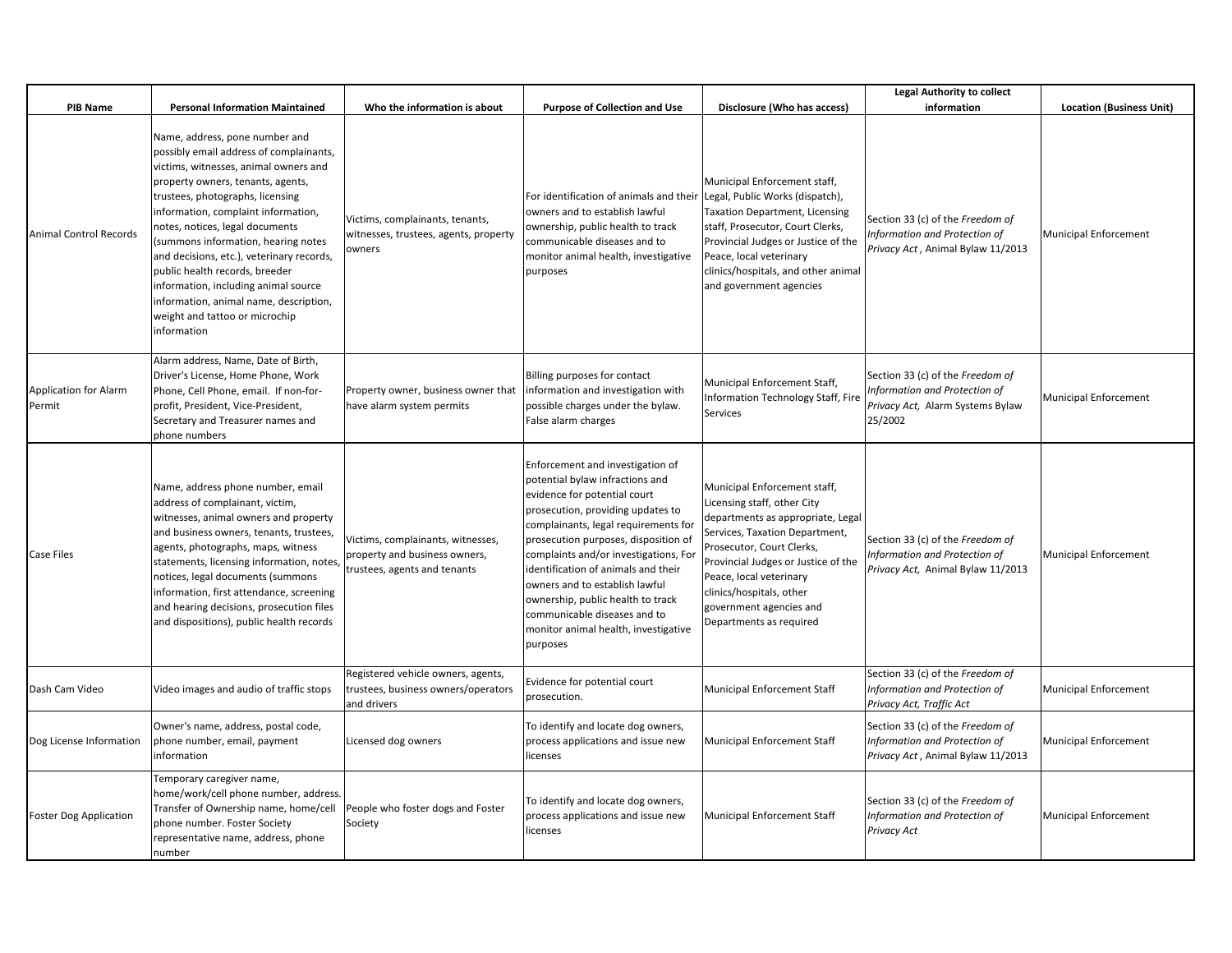|                                        |                                                                                                                                                                                                                                                                                                                                                                                                                                                                                                                                |                                                                                                    |                                                                                                                                                                                                                                                                                                                                                                                                                                                                     |                                                                                                                                                                                                                                                                                                                     | <b>Legal Authority to collect</b>                                                                                |                                 |
|----------------------------------------|--------------------------------------------------------------------------------------------------------------------------------------------------------------------------------------------------------------------------------------------------------------------------------------------------------------------------------------------------------------------------------------------------------------------------------------------------------------------------------------------------------------------------------|----------------------------------------------------------------------------------------------------|---------------------------------------------------------------------------------------------------------------------------------------------------------------------------------------------------------------------------------------------------------------------------------------------------------------------------------------------------------------------------------------------------------------------------------------------------------------------|---------------------------------------------------------------------------------------------------------------------------------------------------------------------------------------------------------------------------------------------------------------------------------------------------------------------|------------------------------------------------------------------------------------------------------------------|---------------------------------|
| <b>PIB Name</b>                        | <b>Personal Information Maintained</b>                                                                                                                                                                                                                                                                                                                                                                                                                                                                                         | Who the information is about                                                                       | <b>Purpose of Collection and Use</b>                                                                                                                                                                                                                                                                                                                                                                                                                                | Disclosure (Who has access)                                                                                                                                                                                                                                                                                         | information                                                                                                      | <b>Location (Business Unit)</b> |
| <b>Animal Control Records</b>          | Name, address, pone number and<br>possibly email address of complainants,<br>victims, witnesses, animal owners and<br>property owners, tenants, agents,<br>trustees, photographs, licensing<br>information, complaint information,<br>notes, notices, legal documents<br>(summons information, hearing notes<br>and decisions, etc.), veterinary records,<br>public health records, breeder<br>information, including animal source<br>information, animal name, description,<br>weight and tattoo or microchip<br>information | Victims, complainants, tenants,<br>witnesses, trustees, agents, property<br>owners                 | For identification of animals and their Legal, Public Works (dispatch),<br>owners and to establish lawful<br>ownership, public health to track<br>communicable diseases and to<br>monitor animal health, investigative<br>purposes                                                                                                                                                                                                                                  | Municipal Enforcement staff,<br><b>Taxation Department, Licensing</b><br>staff, Prosecutor, Court Clerks,<br>Provincial Judges or Justice of the<br>Peace, local veterinary<br>clinics/hospitals, and other animal<br>and government agencies                                                                       | Section 33 (c) of the Freedom of<br>Information and Protection of<br>Privacy Act, Animal Bylaw 11/2013           | <b>Municipal Enforcement</b>    |
| <b>Application for Alarm</b><br>Permit | Alarm address, Name, Date of Birth,<br>Driver's License, Home Phone, Work<br>Phone, Cell Phone, email. If non-for-<br>profit, President, Vice-President,<br>Secretary and Treasurer names and<br>phone numbers                                                                                                                                                                                                                                                                                                                 | Property owner, business owner that<br>have alarm system permits                                   | Billing purposes for contact<br>information and investigation with<br>possible charges under the bylaw.<br>False alarm charges                                                                                                                                                                                                                                                                                                                                      | Municipal Enforcement Staff,<br>Information Technology Staff, Fire<br>Services                                                                                                                                                                                                                                      | Section 33 (c) of the Freedom of<br>Information and Protection of<br>Privacy Act, Alarm Systems Bylaw<br>25/2002 | Municipal Enforcement           |
| <b>Case Files</b>                      | Name, address phone number, email<br>address of complainant, victim,<br>witnesses, animal owners and property<br>and business owners, tenants, trustees,<br>agents, photographs, maps, witness<br>statements, licensing information, notes,<br>notices, legal documents (summons<br>information, first attendance, screening<br>and hearing decisions, prosecution files<br>and dispositions), public health records                                                                                                           | Victims, complainants, witnesses,<br>property and business owners,<br>trustees, agents and tenants | Enforcement and investigation of<br>potential bylaw infractions and<br>evidence for potential court<br>prosecution, providing updates to<br>complainants, legal requirements for<br>prosecution purposes, disposition of<br>complaints and/or investigations, For<br>identification of animals and their<br>owners and to establish lawful<br>ownership, public health to track<br>communicable diseases and to<br>monitor animal health, investigative<br>purposes | Municipal Enforcement staff,<br>Licensing staff, other City<br>departments as appropriate, Legal<br>Services, Taxation Department,<br>Prosecutor, Court Clerks,<br>Provincial Judges or Justice of the<br>Peace, local veterinary<br>clinics/hospitals, other<br>government agencies and<br>Departments as required | Section 33 (c) of the Freedom of<br>Information and Protection of<br>Privacy Act, Animal Bylaw 11/2013           | <b>Municipal Enforcement</b>    |
| Dash Cam Video                         | Video images and audio of traffic stops                                                                                                                                                                                                                                                                                                                                                                                                                                                                                        | Registered vehicle owners, agents,<br>trustees, business owners/operators<br>and drivers           | Evidence for potential court<br>prosecution.                                                                                                                                                                                                                                                                                                                                                                                                                        | <b>Municipal Enforcement Staff</b>                                                                                                                                                                                                                                                                                  | Section 33 (c) of the Freedom of<br>Information and Protection of<br>Privacy Act, Traffic Act                    | Municipal Enforcement           |
| Dog License Information                | Owner's name, address, postal code,<br>phone number, email, payment<br>information                                                                                                                                                                                                                                                                                                                                                                                                                                             | Licensed dog owners                                                                                | To identify and locate dog owners,<br>process applications and issue new<br>licenses                                                                                                                                                                                                                                                                                                                                                                                | Municipal Enforcement Staff                                                                                                                                                                                                                                                                                         | Section 33 (c) of the Freedom of<br>Information and Protection of<br>Privacy Act, Animal Bylaw 11/2013           | Municipal Enforcement           |
| <b>Foster Dog Application</b>          | Temporary caregiver name,<br>home/work/cell phone number, address.<br>Transfer of Ownership name, home/cell<br>phone number. Foster Society<br>representative name, address, phone<br>number                                                                                                                                                                                                                                                                                                                                   | People who foster dogs and Foster<br>Society                                                       | To identify and locate dog owners,<br>process applications and issue new<br>licenses                                                                                                                                                                                                                                                                                                                                                                                | Municipal Enforcement Staff                                                                                                                                                                                                                                                                                         | Section 33 (c) of the Freedom of<br>Information and Protection of<br>Privacy Act                                 | Municipal Enforcement           |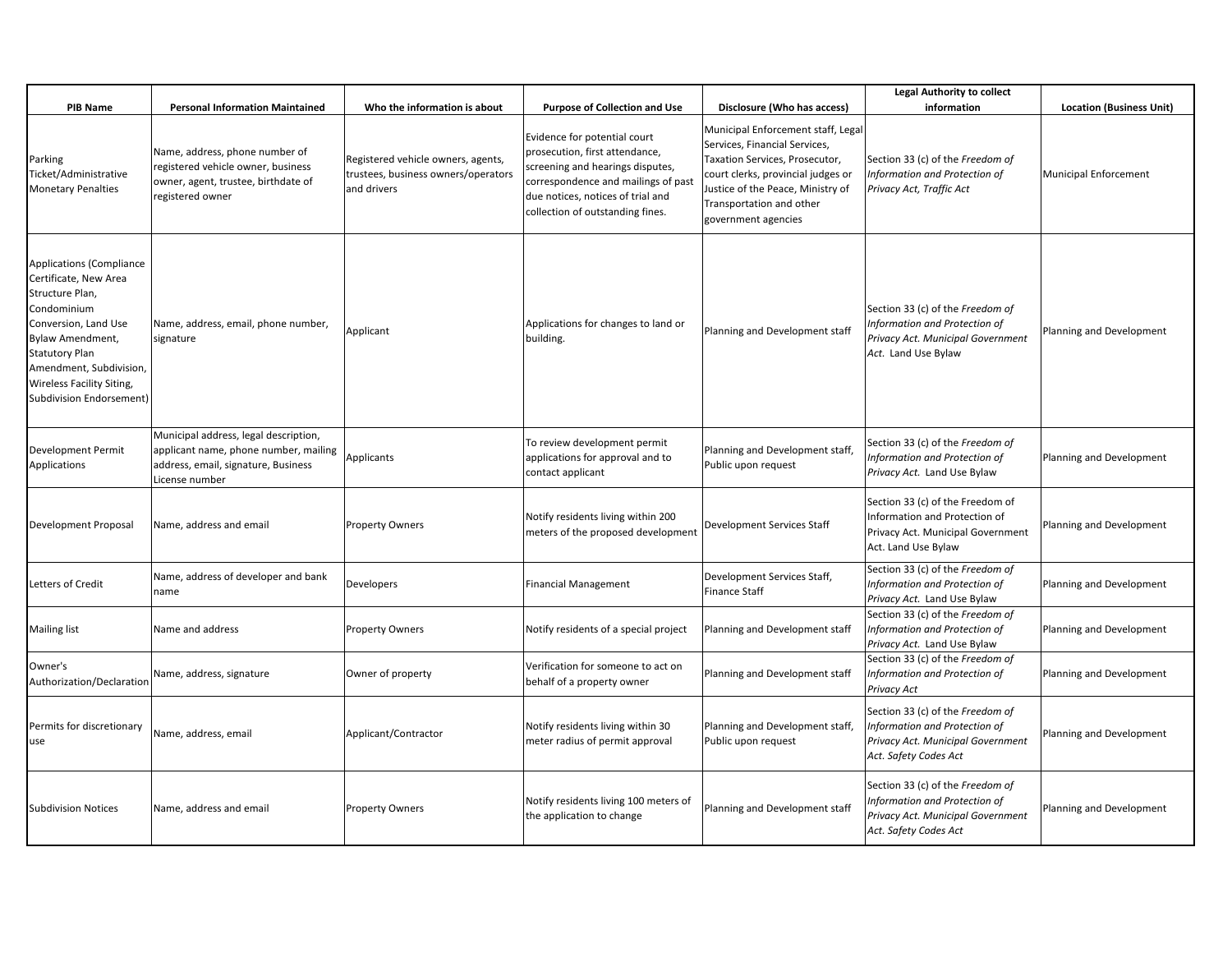|                                                                                                                                                                                                                                                            |                                                                                                                                         |                                                                                          |                                                                                                                                                                                                                    |                                                                                                                                                                                                                                     | <b>Legal Authority to collect</b>                                                                                               |                                 |
|------------------------------------------------------------------------------------------------------------------------------------------------------------------------------------------------------------------------------------------------------------|-----------------------------------------------------------------------------------------------------------------------------------------|------------------------------------------------------------------------------------------|--------------------------------------------------------------------------------------------------------------------------------------------------------------------------------------------------------------------|-------------------------------------------------------------------------------------------------------------------------------------------------------------------------------------------------------------------------------------|---------------------------------------------------------------------------------------------------------------------------------|---------------------------------|
| PIB Name                                                                                                                                                                                                                                                   | <b>Personal Information Maintained</b>                                                                                                  | Who the information is about                                                             | <b>Purpose of Collection and Use</b>                                                                                                                                                                               | Disclosure (Who has access)                                                                                                                                                                                                         | information                                                                                                                     | <b>Location (Business Unit)</b> |
| Parking<br>Ticket/Administrative<br><b>Monetary Penalties</b>                                                                                                                                                                                              | Name, address, phone number of<br>registered vehicle owner, business<br>owner, agent, trustee, birthdate of<br>registered owner         | Registered vehicle owners, agents,<br>trustees, business owners/operators<br>and drivers | Evidence for potential court<br>prosecution, first attendance,<br>screening and hearings disputes,<br>correspondence and mailings of past<br>due notices, notices of trial and<br>collection of outstanding fines. | Municipal Enforcement staff, Legal<br>Services, Financial Services,<br>Taxation Services, Prosecutor,<br>court clerks, provincial judges or<br>Justice of the Peace, Ministry of<br>Transportation and other<br>government agencies | Section 33 (c) of the Freedom of<br>Information and Protection of<br>Privacy Act, Traffic Act                                   | Municipal Enforcement           |
| <b>Applications (Compliance</b><br>Certificate, New Area<br>Structure Plan,<br>Condominium<br>Conversion, Land Use<br>Bylaw Amendment,<br><b>Statutory Plan</b><br>Amendment, Subdivision,<br>Wireless Facility Siting,<br><b>Subdivision Endorsement)</b> | Name, address, email, phone number,<br>signature                                                                                        | Applicant                                                                                | Applications for changes to land or<br>building.                                                                                                                                                                   | Planning and Development staff                                                                                                                                                                                                      | Section 33 (c) of the Freedom of<br>Information and Protection of<br>Privacy Act. Municipal Government<br>Act. Land Use Bylaw   | Planning and Development        |
| Development Permit<br>Applications                                                                                                                                                                                                                         | Municipal address, legal description,<br>applicant name, phone number, mailing<br>address, email, signature, Business<br>License number | <b>Applicants</b>                                                                        | To review development permit<br>applications for approval and to<br>contact applicant                                                                                                                              | Planning and Development staff,<br>Public upon request                                                                                                                                                                              | Section 33 (c) of the Freedom of<br>Information and Protection of<br>Privacy Act. Land Use Bylaw                                | Planning and Development        |
| Development Proposal                                                                                                                                                                                                                                       | Name, address and email                                                                                                                 | <b>Property Owners</b>                                                                   | Notify residents living within 200<br>meters of the proposed development                                                                                                                                           | <b>Development Services Staff</b>                                                                                                                                                                                                   | Section 33 (c) of the Freedom of<br>Information and Protection of<br>Privacy Act. Municipal Government<br>Act. Land Use Bylaw   | Planning and Development        |
| Letters of Credit                                                                                                                                                                                                                                          | Name, address of developer and bank<br>name                                                                                             | Developers                                                                               | <b>Financial Management</b>                                                                                                                                                                                        | Development Services Staff,<br>Finance Staff                                                                                                                                                                                        | Section 33 (c) of the Freedom of<br>Information and Protection of<br>Privacy Act. Land Use Bylaw                                | Planning and Development        |
| Mailing list                                                                                                                                                                                                                                               | Name and address                                                                                                                        | <b>Property Owners</b>                                                                   | Notify residents of a special project                                                                                                                                                                              | Planning and Development staff                                                                                                                                                                                                      | Section 33 (c) of the Freedom of<br>Information and Protection of<br>Privacy Act. Land Use Bylaw                                | Planning and Development        |
| Owner's<br>Authorization/Declaration                                                                                                                                                                                                                       | Name, address, signature                                                                                                                | Owner of property                                                                        | Verification for someone to act on<br>behalf of a property owner                                                                                                                                                   | Planning and Development staff                                                                                                                                                                                                      | Section 33 (c) of the Freedom of<br>Information and Protection of<br>Privacy Act                                                | Planning and Development        |
| Permits for discretionary<br>use                                                                                                                                                                                                                           | Name, address, email                                                                                                                    | Applicant/Contractor                                                                     | Notify residents living within 30<br>meter radius of permit approval                                                                                                                                               | Planning and Development staff,<br>Public upon request                                                                                                                                                                              | Section 33 (c) of the Freedom of<br>Information and Protection of<br>Privacy Act. Municipal Government<br>Act. Safety Codes Act | Planning and Development        |
| <b>Subdivision Notices</b>                                                                                                                                                                                                                                 | Name, address and email                                                                                                                 | <b>Property Owners</b>                                                                   | Notify residents living 100 meters of<br>the application to change                                                                                                                                                 | Planning and Development staff                                                                                                                                                                                                      | Section 33 (c) of the Freedom of<br>Information and Protection of<br>Privacy Act. Municipal Government<br>Act. Safety Codes Act | Planning and Development        |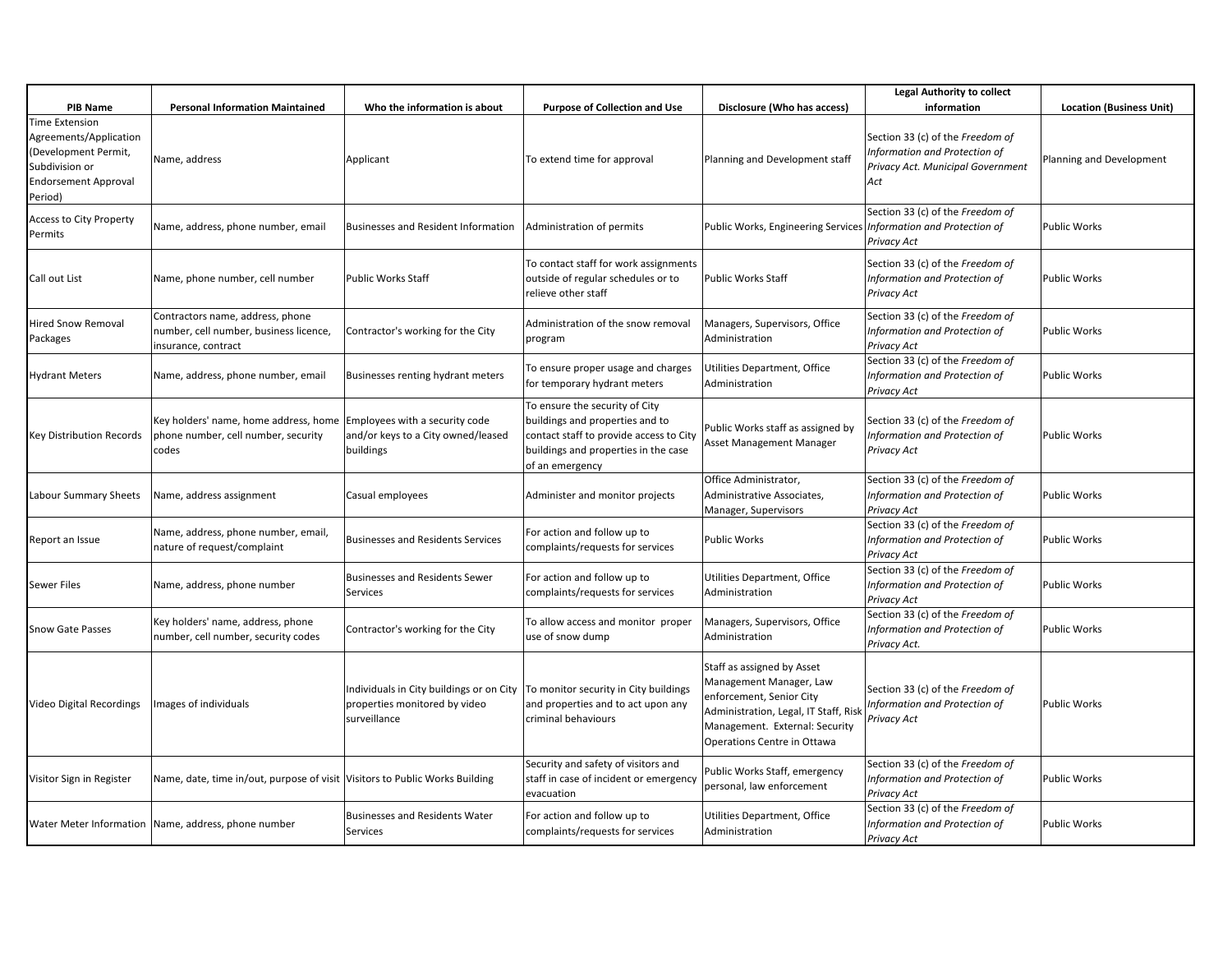|                                                                                                                                     |                                                                                                   |                                                                                                                                   |                                                                                                                                                                         |                                                                                                                                                                                             | <b>Legal Authority to collect</b>                                                                             |                                 |
|-------------------------------------------------------------------------------------------------------------------------------------|---------------------------------------------------------------------------------------------------|-----------------------------------------------------------------------------------------------------------------------------------|-------------------------------------------------------------------------------------------------------------------------------------------------------------------------|---------------------------------------------------------------------------------------------------------------------------------------------------------------------------------------------|---------------------------------------------------------------------------------------------------------------|---------------------------------|
| <b>PIB Name</b>                                                                                                                     | <b>Personal Information Maintained</b>                                                            | Who the information is about                                                                                                      | <b>Purpose of Collection and Use</b>                                                                                                                                    | Disclosure (Who has access)                                                                                                                                                                 | information                                                                                                   | <b>Location (Business Unit)</b> |
| <b>Time Extension</b><br>Agreements/Application<br>(Development Permit,<br>Subdivision or<br><b>Endorsement Approval</b><br>Period) | Name, address                                                                                     | Applicant                                                                                                                         | To extend time for approval                                                                                                                                             | Planning and Development staff                                                                                                                                                              | Section 33 (c) of the Freedom of<br>Information and Protection of<br>Privacy Act. Municipal Government<br>Act | Planning and Development        |
| <b>Access to City Property</b><br>Permits                                                                                           | Name, address, phone number, email                                                                | Businesses and Resident Information                                                                                               | Administration of permits                                                                                                                                               | Public Works, Engineering Services <i>Information and Protection of</i>                                                                                                                     | Section 33 (c) of the Freedom of<br>Privacy Act                                                               | <b>Public Works</b>             |
| Call out List                                                                                                                       | Name, phone number, cell number                                                                   | <b>Public Works Staff</b>                                                                                                         | To contact staff for work assignments<br>outside of regular schedules or to<br>relieve other staff                                                                      | Public Works Staff                                                                                                                                                                          | Section 33 (c) of the Freedom of<br>Information and Protection of<br>Privacy Act                              | <b>Public Works</b>             |
| Hired Snow Removal<br>Packages                                                                                                      | Contractors name, address, phone<br>number, cell number, business licence,<br>insurance, contract | Contractor's working for the City                                                                                                 | Administration of the snow removal<br>program                                                                                                                           | Managers, Supervisors, Office<br>Administration                                                                                                                                             | Section 33 (c) of the Freedom of<br>Information and Protection of<br>Privacy Act                              | <b>Public Works</b>             |
| <b>Hydrant Meters</b>                                                                                                               | Name, address, phone number, email                                                                | Businesses renting hydrant meters                                                                                                 | To ensure proper usage and charges<br>for temporary hydrant meters                                                                                                      | Utilities Department, Office<br>Administration                                                                                                                                              | Section 33 (c) of the Freedom of<br>Information and Protection of<br>Privacy Act                              | <b>Public Works</b>             |
| Key Distribution Records                                                                                                            | Key holders' name, home address, home<br>phone number, cell number, security<br>codes             | Employees with a security code<br>and/or keys to a City owned/leased<br>buildings                                                 | To ensure the security of City<br>buildings and properties and to<br>contact staff to provide access to City<br>buildings and properties in the case<br>of an emergency | Public Works staff as assigned by<br>Asset Management Manager                                                                                                                               | Section 33 (c) of the Freedom of<br>Information and Protection of<br>Privacy Act                              | <b>Public Works</b>             |
| Labour Summary Sheets                                                                                                               | Name, address assignment                                                                          | Casual employees                                                                                                                  | Administer and monitor projects                                                                                                                                         | Office Administrator,<br>Administrative Associates,<br>Manager, Supervisors                                                                                                                 | Section 33 (c) of the Freedom of<br>Information and Protection of<br>Privacy Act                              | <b>Public Works</b>             |
| Report an Issue                                                                                                                     | Name, address, phone number, email,<br>nature of request/complaint                                | <b>Businesses and Residents Services</b>                                                                                          | For action and follow up to<br>complaints/requests for services                                                                                                         | Public Works                                                                                                                                                                                | Section 33 (c) of the Freedom of<br>Information and Protection of<br>Privacy Act                              | <b>Public Works</b>             |
| Sewer Files                                                                                                                         | Name, address, phone number                                                                       | <b>Businesses and Residents Sewer</b><br>Services                                                                                 | For action and follow up to<br>complaints/requests for services                                                                                                         | Utilities Department, Office<br>Administration                                                                                                                                              | Section 33 (c) of the Freedom of<br>Information and Protection of<br>Privacy Act                              | <b>Public Works</b>             |
| <b>Snow Gate Passes</b>                                                                                                             | Key holders' name, address, phone<br>number, cell number, security codes                          | Contractor's working for the City                                                                                                 | To allow access and monitor proper<br>use of snow dump                                                                                                                  | Managers, Supervisors, Office<br>Administration                                                                                                                                             | Section 33 (c) of the Freedom of<br>Information and Protection of<br>Privacy Act.                             | <b>Public Works</b>             |
| Video Digital Recordings                                                                                                            | Images of individuals                                                                             | Individuals in City buildings or on City   To monitor security in City buildings<br>properties monitored by video<br>surveillance | and properties and to act upon any<br>criminal behaviours                                                                                                               | Staff as assigned by Asset<br>Management Manager, Law<br>enforcement, Senior City<br>Administration, Legal, IT Staff, Risk<br>Management. External: Security<br>Operations Centre in Ottawa | Section 33 (c) of the Freedom of<br>Information and Protection of<br>Privacy Act                              | <b>Public Works</b>             |
| Visitor Sign in Register                                                                                                            | Name, date, time in/out, purpose of visit Visitors to Public Works Building                       |                                                                                                                                   | Security and safety of visitors and<br>staff in case of incident or emergency<br>evacuation                                                                             | Public Works Staff, emergency<br>personal, law enforcement                                                                                                                                  | Section 33 (c) of the Freedom of<br>Information and Protection of<br>Privacy Act                              | <b>Public Works</b>             |
|                                                                                                                                     | Water Meter Information   Name, address, phone number                                             | <b>Businesses and Residents Water</b><br>Services                                                                                 | For action and follow up to<br>complaints/requests for services                                                                                                         | Utilities Department, Office<br>Administration                                                                                                                                              | Section 33 (c) of the Freedom of<br>Information and Protection of<br>Privacy Act                              | <b>Public Works</b>             |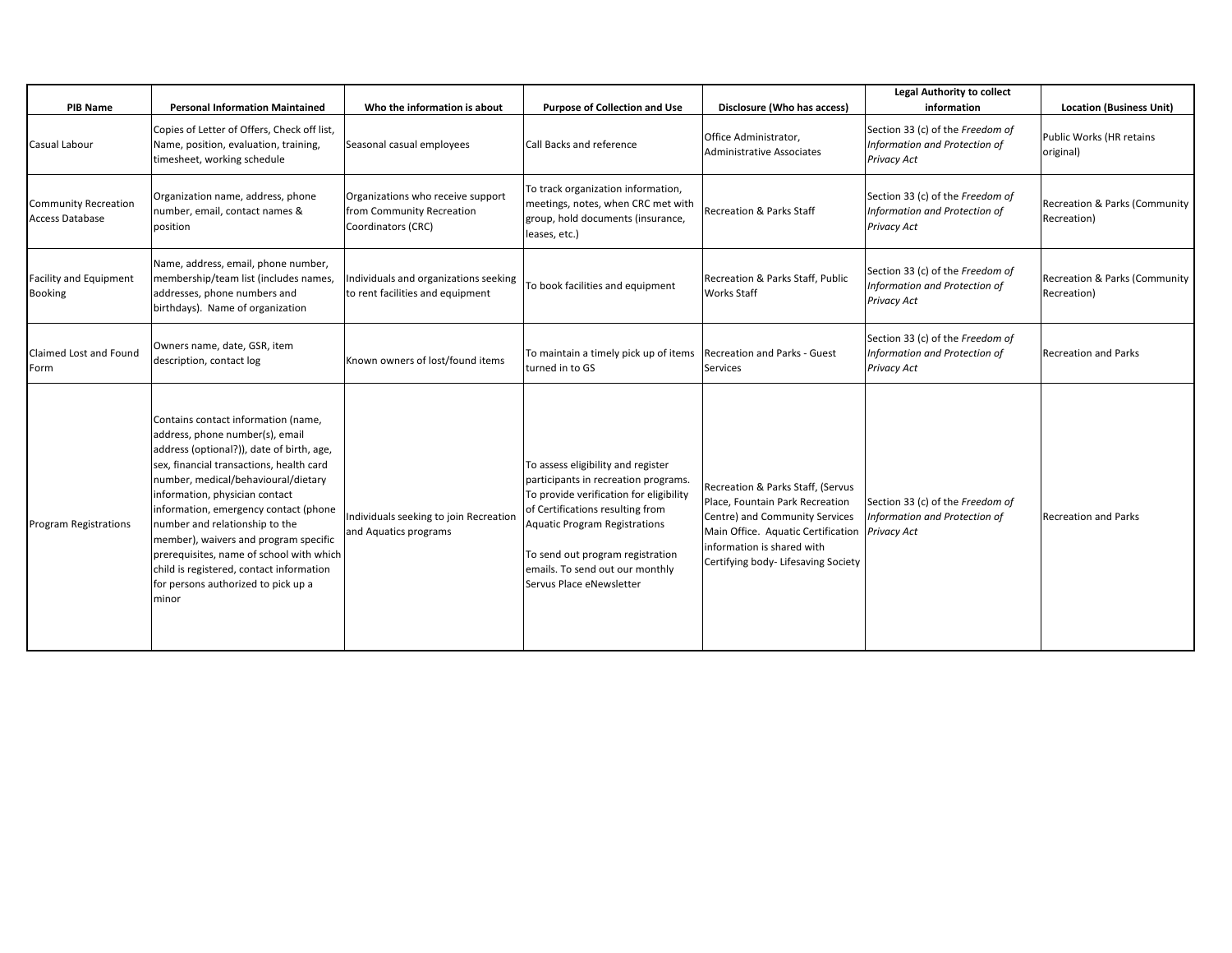|                                                 |                                                                                                                                                                                                                                                                                                                                                                                                                                                                                                      |                                                                                      |                                                                                                                                                                                                                                                                                                      |                                                                                                                                                                                                                               | <b>Legal Authority to collect</b>                                                |                                              |
|-------------------------------------------------|------------------------------------------------------------------------------------------------------------------------------------------------------------------------------------------------------------------------------------------------------------------------------------------------------------------------------------------------------------------------------------------------------------------------------------------------------------------------------------------------------|--------------------------------------------------------------------------------------|------------------------------------------------------------------------------------------------------------------------------------------------------------------------------------------------------------------------------------------------------------------------------------------------------|-------------------------------------------------------------------------------------------------------------------------------------------------------------------------------------------------------------------------------|----------------------------------------------------------------------------------|----------------------------------------------|
| <b>PIB Name</b>                                 | <b>Personal Information Maintained</b>                                                                                                                                                                                                                                                                                                                                                                                                                                                               | Who the information is about                                                         | <b>Purpose of Collection and Use</b>                                                                                                                                                                                                                                                                 | Disclosure (Who has access)                                                                                                                                                                                                   | information                                                                      | <b>Location (Business Unit)</b>              |
| Casual Labour                                   | Copies of Letter of Offers, Check off list,<br>Name, position, evaluation, training,<br>timesheet, working schedule                                                                                                                                                                                                                                                                                                                                                                                  | Seasonal casual employees                                                            | Call Backs and reference                                                                                                                                                                                                                                                                             | Office Administrator,<br>Administrative Associates                                                                                                                                                                            | Section 33 (c) of the Freedom of<br>Information and Protection of<br>Privacy Act | Public Works (HR retains<br>original)        |
| <b>Community Recreation</b><br>Access Database  | Organization name, address, phone<br>number, email, contact names &<br>position                                                                                                                                                                                                                                                                                                                                                                                                                      | Organizations who receive support<br>from Community Recreation<br>Coordinators (CRC) | To track organization information,<br>meetings, notes, when CRC met with<br>group, hold documents (insurance,<br>leases, etc.)                                                                                                                                                                       | <b>Recreation &amp; Parks Staff</b>                                                                                                                                                                                           | Section 33 (c) of the Freedom of<br>Information and Protection of<br>Privacy Act | Recreation & Parks (Community<br>Recreation) |
| <b>Facility and Equipment</b><br><b>Booking</b> | Name, address, email, phone number,<br>membership/team list (includes names,<br>addresses, phone numbers and<br>birthdays). Name of organization                                                                                                                                                                                                                                                                                                                                                     | Individuals and organizations seeking<br>to rent facilities and equipment            | To book facilities and equipment                                                                                                                                                                                                                                                                     | Recreation & Parks Staff, Public<br><b>Works Staff</b>                                                                                                                                                                        | Section 33 (c) of the Freedom of<br>Information and Protection of<br>Privacy Act | Recreation & Parks (Community<br>Recreation) |
| Claimed Lost and Found<br>Form                  | Owners name, date, GSR, item<br>description, contact log                                                                                                                                                                                                                                                                                                                                                                                                                                             | Known owners of lost/found items                                                     | To maintain a timely pick up of items   Recreation and Parks - Guest<br>turned in to GS                                                                                                                                                                                                              | Services                                                                                                                                                                                                                      | Section 33 (c) of the Freedom of<br>Information and Protection of<br>Privacy Act | <b>Recreation and Parks</b>                  |
| <b>Program Registrations</b>                    | Contains contact information (name,<br>address, phone number(s), email<br>address (optional?)), date of birth, age,<br>sex, financial transactions, health card<br>number, medical/behavioural/dietary<br>information, physician contact<br>information, emergency contact (phone<br>number and relationship to the<br>member), waivers and program specific<br>prerequisites, name of school with which<br>child is registered, contact information<br>for persons authorized to pick up a<br>minor | Individuals seeking to join Recreation<br>and Aquatics programs                      | To assess eligibility and register<br>participants in recreation programs.<br>To provide verification for eligibility<br>of Certifications resulting from<br><b>Aquatic Program Registrations</b><br>To send out program registration<br>emails. To send out our monthly<br>Servus Place eNewsletter | Recreation & Parks Staff, (Servus<br>Place, Fountain Park Recreation<br>Centre) and Community Services<br>Main Office. Aquatic Certification Privacy Act<br>information is shared with<br>Certifying body- Lifesaving Society | Section 33 (c) of the Freedom of<br>Information and Protection of                | <b>Recreation and Parks</b>                  |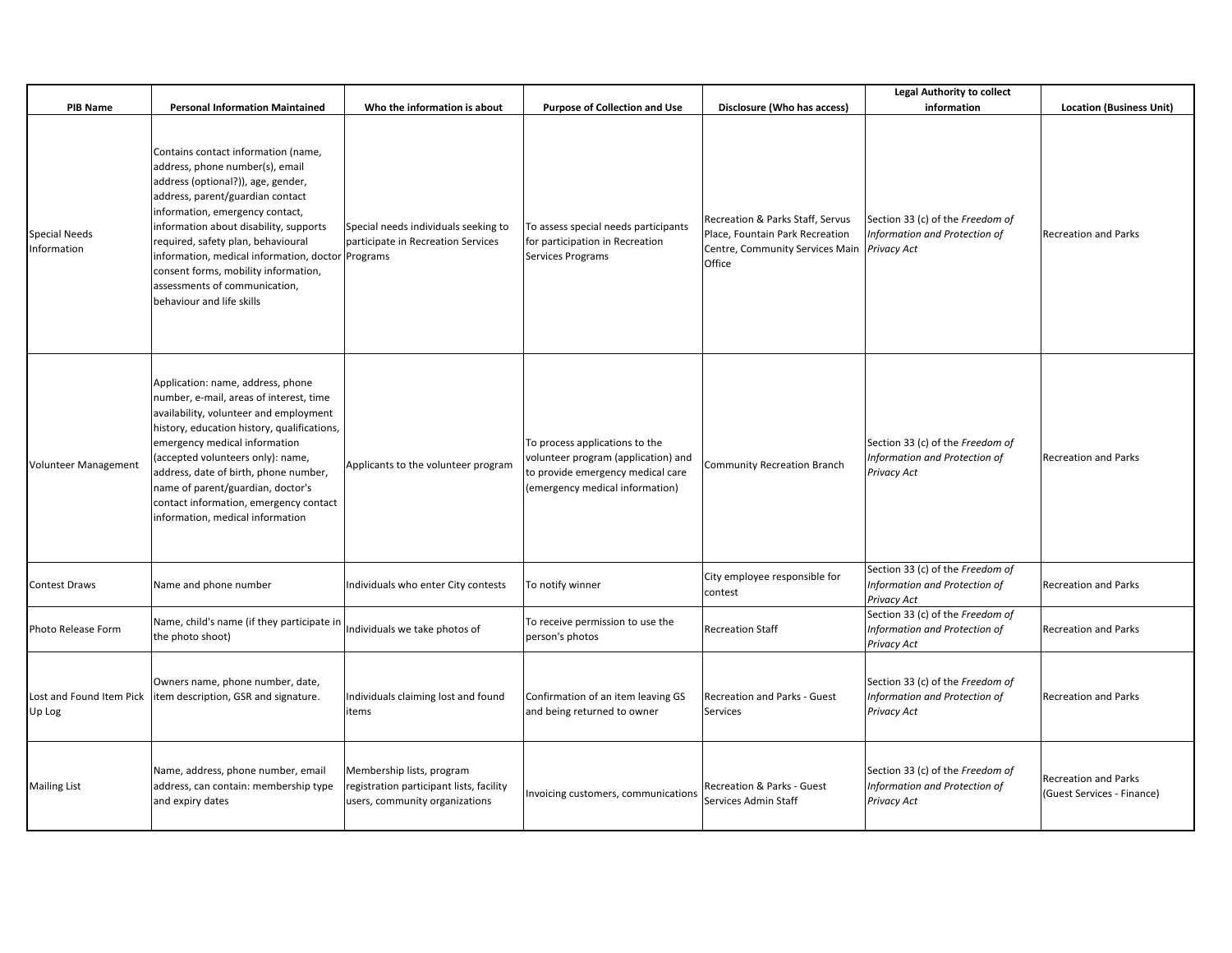|                                     |                                                                                                                                                                                                                                                                                                                                                                                                                                |                                                                                                        |                                                                                                                                               |                                                                                                                  | <b>Legal Authority to collect</b>                                                       |                                                           |
|-------------------------------------|--------------------------------------------------------------------------------------------------------------------------------------------------------------------------------------------------------------------------------------------------------------------------------------------------------------------------------------------------------------------------------------------------------------------------------|--------------------------------------------------------------------------------------------------------|-----------------------------------------------------------------------------------------------------------------------------------------------|------------------------------------------------------------------------------------------------------------------|-----------------------------------------------------------------------------------------|-----------------------------------------------------------|
| <b>PIB Name</b>                     | <b>Personal Information Maintained</b>                                                                                                                                                                                                                                                                                                                                                                                         | Who the information is about                                                                           | <b>Purpose of Collection and Use</b>                                                                                                          | Disclosure (Who has access)                                                                                      | information                                                                             | <b>Location (Business Unit)</b>                           |
| <b>Special Needs</b><br>Information | Contains contact information (name,<br>address, phone number(s), email<br>address (optional?)), age, gender,<br>address, parent/guardian contact<br>information, emergency contact,<br>information about disability, supports<br>required, safety plan, behavioural<br>information, medical information, doctor Programs<br>consent forms, mobility information,<br>assessments of communication,<br>behaviour and life skills | Special needs individuals seeking to<br>participate in Recreation Services                             | To assess special needs participants<br>for participation in Recreation<br><b>Services Programs</b>                                           | Recreation & Parks Staff, Servus<br>Place, Fountain Park Recreation<br>Centre, Community Services Main<br>Office | Section 33 (c) of the Freedom of<br>Information and Protection of<br><b>Privacy Act</b> | <b>Recreation and Parks</b>                               |
| <b>Volunteer Management</b>         | Application: name, address, phone<br>number, e-mail, areas of interest, time<br>availability, volunteer and employment<br>history, education history, qualifications,<br>emergency medical information<br>(accepted volunteers only): name,<br>address, date of birth, phone number,<br>name of parent/guardian, doctor's<br>contact information, emergency contact<br>information, medical information                        | Applicants to the volunteer program                                                                    | To process applications to the<br>volunteer program (application) and<br>to provide emergency medical care<br>(emergency medical information) | <b>Community Recreation Branch</b>                                                                               | Section 33 (c) of the Freedom of<br>Information and Protection of<br>Privacy Act        | <b>Recreation and Parks</b>                               |
| <b>Contest Draws</b>                | Name and phone number                                                                                                                                                                                                                                                                                                                                                                                                          | Individuals who enter City contests                                                                    | To notify winner                                                                                                                              | City employee responsible for<br>contest                                                                         | Section 33 (c) of the Freedom of<br>Information and Protection of<br>Privacy Act        | <b>Recreation and Parks</b>                               |
| Photo Release Form                  | Name, child's name (if they participate in<br>the photo shoot)                                                                                                                                                                                                                                                                                                                                                                 | Individuals we take photos of                                                                          | To receive permission to use the<br>person's photos                                                                                           | <b>Recreation Staff</b>                                                                                          | Section 33 (c) of the Freedom of<br>Information and Protection of<br>Privacy Act        | Recreation and Parks                                      |
| Lost and Found Item Pick<br>Up Log  | Owners name, phone number, date,<br>item description, GSR and signature.                                                                                                                                                                                                                                                                                                                                                       | Individuals claiming lost and found<br>items                                                           | Confirmation of an item leaving GS<br>and being returned to owner                                                                             | Recreation and Parks - Guest<br>Services                                                                         | Section 33 (c) of the Freedom of<br>Information and Protection of<br>Privacy Act        | <b>Recreation and Parks</b>                               |
| <b>Mailing List</b>                 | Name, address, phone number, email<br>address, can contain: membership type<br>and expiry dates                                                                                                                                                                                                                                                                                                                                | Membership lists, program<br>egistration participant lists, facility<br>users, community organizations | Invoicing customers, communications                                                                                                           | Recreation & Parks - Guest<br>Services Admin Staff                                                               | Section 33 (c) of the Freedom of<br>Information and Protection of<br>Privacy Act        | <b>Recreation and Parks</b><br>(Guest Services - Finance) |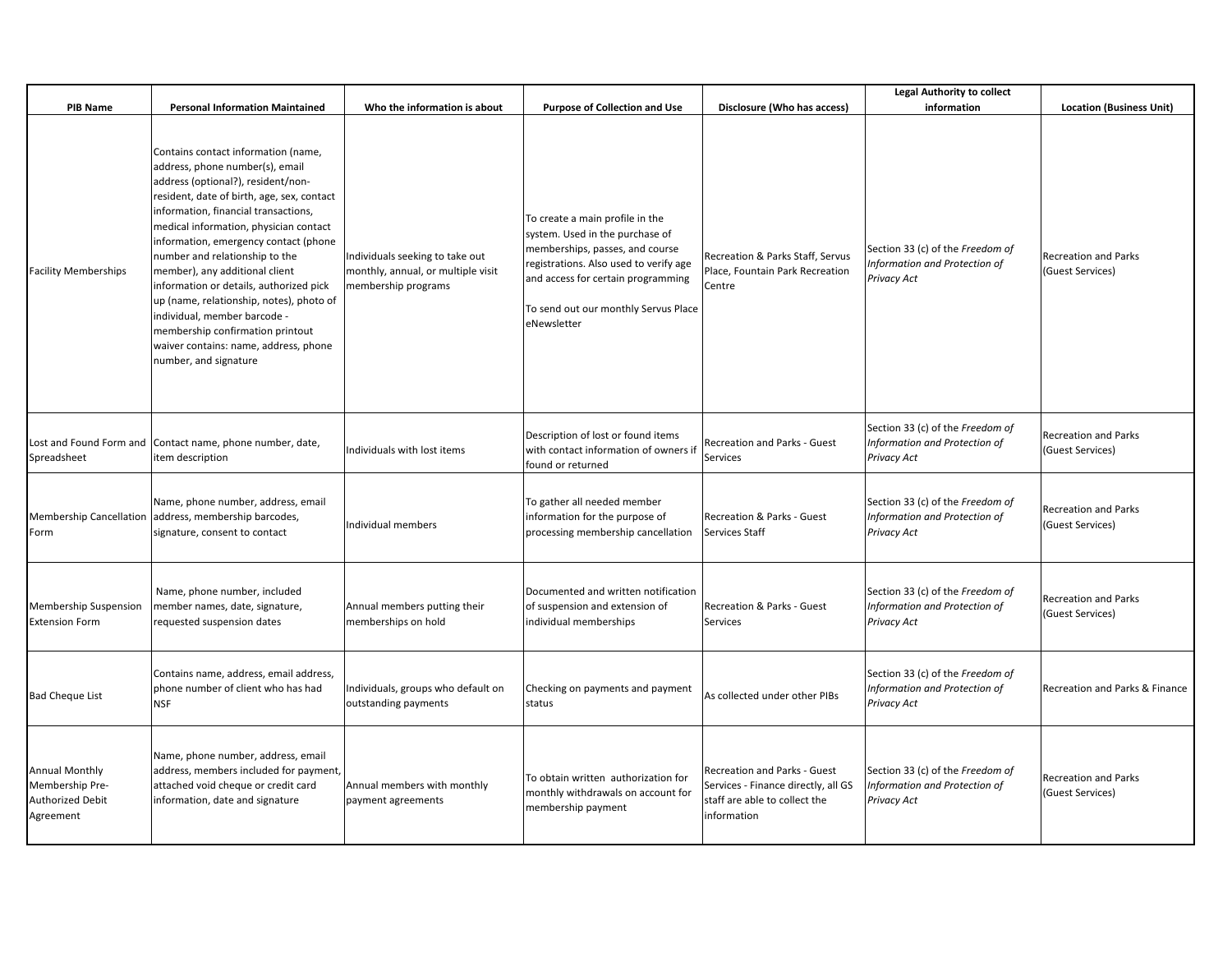|                                                                                  |                                                                                                                                                                                                                                                                                                                                                                                                                                                                                                                                                                                        |                                                                                              |                                                                                                                                                                                                                                              |                                                                                                                            | <b>Legal Authority to collect</b>                                                |                                                 |
|----------------------------------------------------------------------------------|----------------------------------------------------------------------------------------------------------------------------------------------------------------------------------------------------------------------------------------------------------------------------------------------------------------------------------------------------------------------------------------------------------------------------------------------------------------------------------------------------------------------------------------------------------------------------------------|----------------------------------------------------------------------------------------------|----------------------------------------------------------------------------------------------------------------------------------------------------------------------------------------------------------------------------------------------|----------------------------------------------------------------------------------------------------------------------------|----------------------------------------------------------------------------------|-------------------------------------------------|
| <b>PIB Name</b>                                                                  | <b>Personal Information Maintained</b>                                                                                                                                                                                                                                                                                                                                                                                                                                                                                                                                                 | Who the information is about                                                                 | <b>Purpose of Collection and Use</b>                                                                                                                                                                                                         | Disclosure (Who has access)                                                                                                | information                                                                      | <b>Location (Business Unit)</b>                 |
| <b>Facility Memberships</b>                                                      | Contains contact information (name,<br>address, phone number(s), email<br>address (optional?), resident/non-<br>resident, date of birth, age, sex, contact<br>information, financial transactions,<br>medical information, physician contact<br>information, emergency contact (phone<br>number and relationship to the<br>member), any additional client<br>information or details, authorized pick<br>up (name, relationship, notes), photo of<br>individual, member barcode -<br>membership confirmation printout<br>waiver contains: name, address, phone<br>number, and signature | Individuals seeking to take out<br>monthly, annual, or multiple visit<br>membership programs | To create a main profile in the<br>system. Used in the purchase of<br>memberships, passes, and course<br>registrations. Also used to verify age<br>and access for certain programming<br>To send out our monthly Servus Place<br>eNewsletter | Recreation & Parks Staff, Servus<br>Place, Fountain Park Recreation<br>Centre                                              | Section 33 (c) of the Freedom of<br>Information and Protection of<br>Privacy Act | <b>Recreation and Parks</b><br>(Guest Services) |
| Spreadsheet                                                                      | Lost and Found Form and Contact name, phone number, date,<br>item description                                                                                                                                                                                                                                                                                                                                                                                                                                                                                                          | Individuals with lost items                                                                  | Description of lost or found items<br>with contact information of owners if<br>found or returned                                                                                                                                             | Recreation and Parks - Guest<br>Services                                                                                   | Section 33 (c) of the Freedom of<br>Information and Protection of<br>Privacy Act | <b>Recreation and Parks</b><br>(Guest Services) |
| Form                                                                             | Name, phone number, address, email<br>Membership Cancellation address, membership barcodes,<br>signature, consent to contact                                                                                                                                                                                                                                                                                                                                                                                                                                                           | Individual members                                                                           | To gather all needed member<br>information for the purpose of<br>processing membership cancellation                                                                                                                                          | Recreation & Parks - Guest<br>Services Staff                                                                               | Section 33 (c) of the Freedom of<br>Information and Protection of<br>Privacy Act | <b>Recreation and Parks</b><br>(Guest Services) |
| Membership Suspension<br><b>Extension Form</b>                                   | Name, phone number, included<br>member names, date, signature,<br>requested suspension dates                                                                                                                                                                                                                                                                                                                                                                                                                                                                                           | Annual members putting their<br>memberships on hold                                          | Documented and written notification<br>of suspension and extension of<br>individual memberships                                                                                                                                              | Recreation & Parks - Guest<br>Services                                                                                     | Section 33 (c) of the Freedom of<br>Information and Protection of<br>Privacy Act | <b>Recreation and Parks</b><br>(Guest Services) |
| <b>Bad Cheque List</b>                                                           | Contains name, address, email address,<br>phone number of client who has had<br><b>NSF</b>                                                                                                                                                                                                                                                                                                                                                                                                                                                                                             | Individuals, groups who default on<br>outstanding payments                                   | Checking on payments and payment<br>status                                                                                                                                                                                                   | As collected under other PIBs                                                                                              | Section 33 (c) of the Freedom of<br>Information and Protection of<br>Privacy Act | Recreation and Parks & Finance                  |
| <b>Annual Monthly</b><br>Membership Pre-<br><b>Authorized Debit</b><br>Agreement | Name, phone number, address, email<br>address, members included for payment,<br>attached void cheque or credit card<br>information, date and signature                                                                                                                                                                                                                                                                                                                                                                                                                                 | Annual members with monthly<br>payment agreements                                            | To obtain written authorization for<br>monthly withdrawals on account for<br>membership payment                                                                                                                                              | <b>Recreation and Parks - Guest</b><br>Services - Finance directly, all GS<br>staff are able to collect the<br>information | Section 33 (c) of the Freedom of<br>Information and Protection of<br>Privacy Act | <b>Recreation and Parks</b><br>(Guest Services) |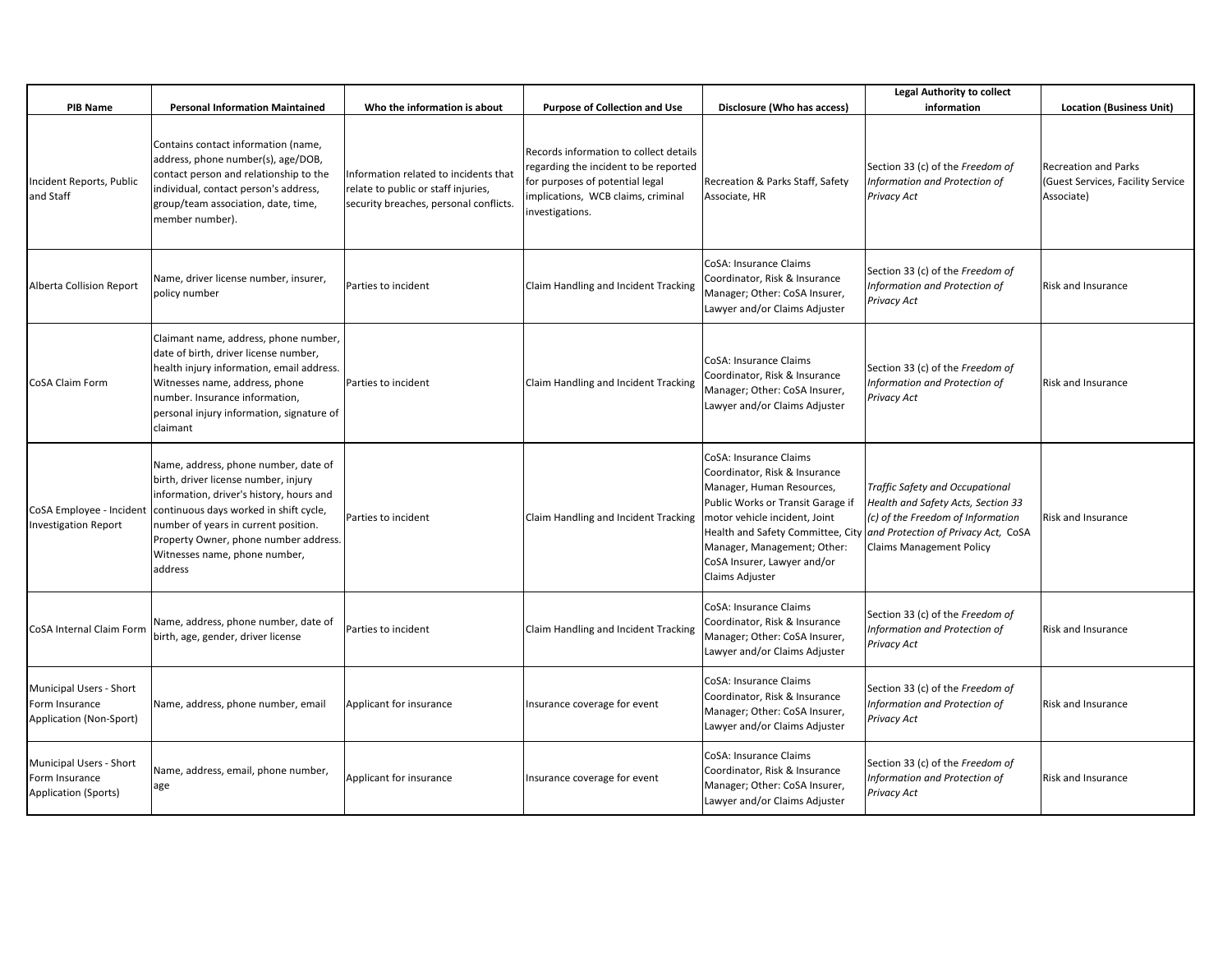| <b>PIB Name</b>                                                          | <b>Personal Information Maintained</b>                                                                                                                                                                                                                                                          | Who the information is about                                                                                           | <b>Purpose of Collection and Use</b>                                                                                                                                        | Disclosure (Who has access)                                                                                                                                                                                                                                                      | <b>Legal Authority to collect</b><br>information                                                                                                                                            | <b>Location (Business Unit)</b>                                         |
|--------------------------------------------------------------------------|-------------------------------------------------------------------------------------------------------------------------------------------------------------------------------------------------------------------------------------------------------------------------------------------------|------------------------------------------------------------------------------------------------------------------------|-----------------------------------------------------------------------------------------------------------------------------------------------------------------------------|----------------------------------------------------------------------------------------------------------------------------------------------------------------------------------------------------------------------------------------------------------------------------------|---------------------------------------------------------------------------------------------------------------------------------------------------------------------------------------------|-------------------------------------------------------------------------|
| Incident Reports, Public<br>and Staff                                    | Contains contact information (name,<br>address, phone number(s), age/DOB,<br>contact person and relationship to the<br>individual, contact person's address,<br>group/team association, date, time,<br>member number).                                                                          | Information related to incidents that<br>relate to public or staff injuries,<br>security breaches, personal conflicts. | Records information to collect details<br>regarding the incident to be reported<br>for purposes of potential legal<br>implications, WCB claims, criminal<br>investigations. | Recreation & Parks Staff, Safety<br>Associate, HR                                                                                                                                                                                                                                | Section 33 (c) of the Freedom of<br>Information and Protection of<br>Privacy Act                                                                                                            | Recreation and Parks<br>(Guest Services, Facility Service<br>Associate) |
| <b>Alberta Collision Report</b>                                          | Name, driver license number, insurer,<br>policy number                                                                                                                                                                                                                                          | Parties to incident                                                                                                    | Claim Handling and Incident Tracking                                                                                                                                        | CoSA: Insurance Claims<br>Coordinator, Risk & Insurance<br>Manager; Other: CoSA Insurer,<br>Lawyer and/or Claims Adjuster                                                                                                                                                        | Section 33 (c) of the Freedom of<br>Information and Protection of<br>Privacy Act                                                                                                            | <b>Risk and Insurance</b>                                               |
| CoSA Claim Form                                                          | Claimant name, address, phone number,<br>date of birth, driver license number,<br>health injury information, email address.<br>Witnesses name, address, phone<br>number. Insurance information,<br>personal injury information, signature of<br>claimant                                        | Parties to incident                                                                                                    | Claim Handling and Incident Tracking                                                                                                                                        | CoSA: Insurance Claims<br>Coordinator, Risk & Insurance<br>Manager; Other: CoSA Insurer,<br>Lawyer and/or Claims Adjuster                                                                                                                                                        | Section 33 (c) of the Freedom of<br>Information and Protection of<br>Privacy Act                                                                                                            | <b>Risk and Insurance</b>                                               |
| CoSA Employee - Incident<br><b>Investigation Report</b>                  | Name, address, phone number, date of<br>birth, driver license number, injury<br>information, driver's history, hours and<br>continuous days worked in shift cycle,<br>number of years in current position.<br>Property Owner, phone number address.<br>Witnesses name, phone number,<br>address | Parties to incident                                                                                                    | Claim Handling and Incident Tracking                                                                                                                                        | CoSA: Insurance Claims<br>Coordinator, Risk & Insurance<br>Manager, Human Resources,<br>Public Works or Transit Garage if<br>motor vehicle incident, Joint<br>Health and Safety Committee, City<br>Manager, Management; Other:<br>CoSA Insurer, Lawyer and/or<br>Claims Adjuster | <b>Traffic Safety and Occupational</b><br>Health and Safety Acts, Section 33<br>(c) of the Freedom of Information<br>and Protection of Privacy Act, CoSA<br><b>Claims Management Policy</b> | Risk and Insurance                                                      |
| CoSA Internal Claim Form                                                 | Name, address, phone number, date of<br>birth, age, gender, driver license                                                                                                                                                                                                                      | Parties to incident                                                                                                    | Claim Handling and Incident Tracking                                                                                                                                        | CoSA: Insurance Claims<br>Coordinator, Risk & Insurance<br>Manager; Other: CoSA Insurer,<br>Lawyer and/or Claims Adjuster                                                                                                                                                        | Section 33 (c) of the Freedom of<br>Information and Protection of<br>Privacy Act                                                                                                            | <b>Risk and Insurance</b>                                               |
| Municipal Users - Short<br>Form Insurance<br>Application (Non-Sport)     | Name, address, phone number, email                                                                                                                                                                                                                                                              | Applicant for insurance                                                                                                | Insurance coverage for event                                                                                                                                                | CoSA: Insurance Claims<br>Coordinator, Risk & Insurance<br>Manager; Other: CoSA Insurer,<br>Lawyer and/or Claims Adjuster                                                                                                                                                        | Section 33 (c) of the Freedom of<br>Information and Protection of<br>Privacy Act                                                                                                            | <b>Risk and Insurance</b>                                               |
| Municipal Users - Short<br>Form Insurance<br><b>Application (Sports)</b> | Name, address, email, phone number,<br>age                                                                                                                                                                                                                                                      | Applicant for insurance                                                                                                | Insurance coverage for event                                                                                                                                                | CoSA: Insurance Claims<br>Coordinator, Risk & Insurance<br>Manager; Other: CoSA Insurer,<br>Lawyer and/or Claims Adjuster                                                                                                                                                        | Section 33 (c) of the Freedom of<br>Information and Protection of<br>Privacy Act                                                                                                            | Risk and Insurance                                                      |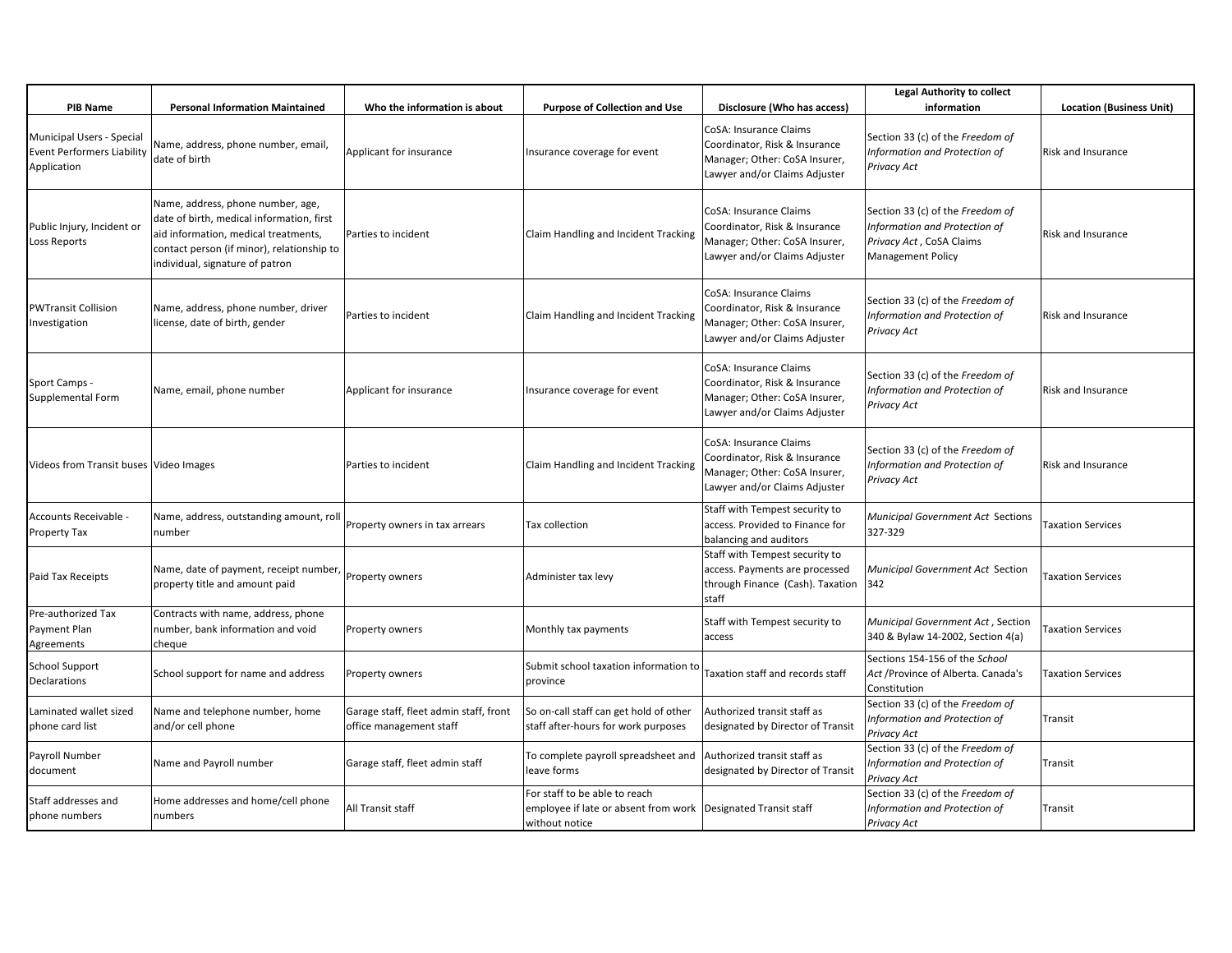| <b>PIB Name</b>                                                               | <b>Personal Information Maintained</b>                                                                                                                                                                  | Who the information is about                                      | <b>Purpose of Collection and Use</b>                                                                               | Disclosure (Who has access)                                                                                               | <b>Legal Authority to collect</b><br>information                                                                          | <b>Location (Business Unit)</b> |
|-------------------------------------------------------------------------------|---------------------------------------------------------------------------------------------------------------------------------------------------------------------------------------------------------|-------------------------------------------------------------------|--------------------------------------------------------------------------------------------------------------------|---------------------------------------------------------------------------------------------------------------------------|---------------------------------------------------------------------------------------------------------------------------|---------------------------------|
| Municipal Users - Special<br><b>Event Performers Liability</b><br>Application | Name, address, phone number, email,<br>date of birth                                                                                                                                                    | Applicant for insurance                                           | Insurance coverage for event                                                                                       | CoSA: Insurance Claims<br>Coordinator, Risk & Insurance<br>Manager; Other: CoSA Insurer,<br>Lawyer and/or Claims Adjuster | Section 33 (c) of the Freedom of<br>Information and Protection of<br>Privacy Act                                          | <b>Risk and Insurance</b>       |
| Public Injury, Incident or<br>Loss Reports                                    | Name, address, phone number, age,<br>date of birth, medical information, first<br>aid information, medical treatments,<br>contact person (if minor), relationship to<br>individual, signature of patron | Parties to incident                                               | Claim Handling and Incident Tracking                                                                               | CoSA: Insurance Claims<br>Coordinator, Risk & Insurance<br>Manager; Other: CoSA Insurer,<br>Lawyer and/or Claims Adjuster | Section 33 (c) of the Freedom of<br>Information and Protection of<br>Privacy Act, CoSA Claims<br><b>Management Policy</b> | <b>Risk and Insurance</b>       |
| PWTransit Collision<br>nvestigation                                           | Name, address, phone number, driver<br>license, date of birth, gender                                                                                                                                   | Parties to incident                                               | Claim Handling and Incident Tracking                                                                               | CoSA: Insurance Claims<br>Coordinator, Risk & Insurance<br>Manager; Other: CoSA Insurer,<br>Lawyer and/or Claims Adjuster | Section 33 (c) of the Freedom of<br>Information and Protection of<br>Privacy Act                                          | Risk and Insurance              |
| Sport Camps -<br>Supplemental Form                                            | Name, email, phone number                                                                                                                                                                               | Applicant for insurance                                           | Insurance coverage for event                                                                                       | CoSA: Insurance Claims<br>Coordinator, Risk & Insurance<br>Manager; Other: CoSA Insurer,<br>Lawyer and/or Claims Adjuster | Section 33 (c) of the Freedom of<br>Information and Protection of<br>Privacy Act                                          | Risk and Insurance              |
| Videos from Transit buses Video Images                                        |                                                                                                                                                                                                         | Parties to incident                                               | Claim Handling and Incident Tracking                                                                               | CoSA: Insurance Claims<br>Coordinator, Risk & Insurance<br>Manager; Other: CoSA Insurer,<br>Lawyer and/or Claims Adjuster | Section 33 (c) of the Freedom of<br>Information and Protection of<br>Privacy Act                                          | <b>Risk and Insurance</b>       |
| Accounts Receivable -<br>Property Tax                                         | Name, address, outstanding amount, roll<br>number                                                                                                                                                       | Property owners in tax arrears                                    | Tax collection                                                                                                     | Staff with Tempest security to<br>access. Provided to Finance for<br>balancing and auditors                               | Municipal Government Act Sections<br>327-329                                                                              | <b>Taxation Services</b>        |
| Paid Tax Receipts                                                             | Name, date of payment, receipt number,<br>property title and amount paid                                                                                                                                | Property owners                                                   | Administer tax levy                                                                                                | Staff with Tempest security to<br>access. Payments are processed<br>through Finance (Cash). Taxation<br>staff             | Municipal Government Act Section<br>342                                                                                   | <b>Taxation Services</b>        |
| Pre-authorized Tax<br>Payment Plan<br>Agreements                              | Contracts with name, address, phone<br>number, bank information and void<br>cheque                                                                                                                      | Property owners                                                   | Monthly tax payments                                                                                               | Staff with Tempest security to<br>access                                                                                  | Municipal Government Act, Section<br>340 & Bylaw 14-2002, Section 4(a)                                                    | <b>Taxation Services</b>        |
| School Support<br>Declarations                                                | School support for name and address                                                                                                                                                                     | Property owners                                                   | Submit school taxation information to<br>province                                                                  | Taxation staff and records staff                                                                                          | Sections 154-156 of the School<br>Act / Province of Alberta. Canada's<br>Constitution                                     | <b>Taxation Services</b>        |
| Laminated wallet sized<br>phone card list                                     | Name and telephone number, home<br>and/or cell phone                                                                                                                                                    | Garage staff, fleet admin staff, front<br>office management staff | So on-call staff can get hold of other<br>staff after-hours for work purposes                                      | Authorized transit staff as<br>designated by Director of Transit                                                          | Section 33 (c) of the Freedom of<br>Information and Protection of<br>Privacy Act                                          | Transit                         |
| Payroll Number<br>document                                                    | Name and Payroll number                                                                                                                                                                                 | Garage staff, fleet admin staff                                   | To complete payroll spreadsheet and<br>leave forms                                                                 | Authorized transit staff as<br>designated by Director of Transit                                                          | Section 33 (c) of the Freedom of<br>Information and Protection of<br>Privacy Act                                          | Transit                         |
| Staff addresses and<br>phone numbers                                          | Home addresses and home/cell phone<br>numbers                                                                                                                                                           | All Transit staff                                                 | For staff to be able to reach<br>employee if late or absent from work   Designated Transit staff<br>without notice |                                                                                                                           | Section 33 (c) of the Freedom of<br>Information and Protection of<br>Privacy Act                                          | Transit                         |